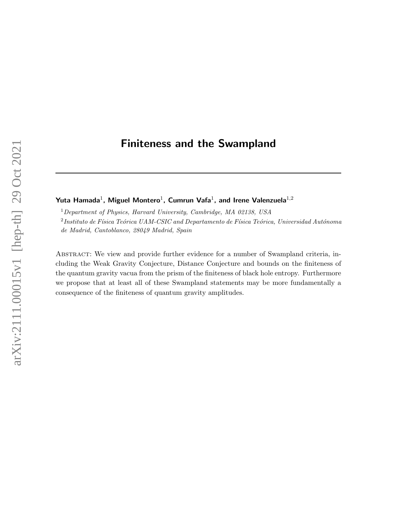# Finiteness and the Swampland

Yuta Hamada $^1$ , Miguel Montero $^1$ , Cumrun Vafa $^1$ , and Irene Valenzuela $^{1,2}$ 

 $1$ Department of Physics, Harvard University, Cambridge, MA 02138, USA  $^2$ Instituto de Física Teórica UAM-CSIC and Departamento de Física Teórica, Universidad Autónoma de Madrid, Cantoblanco, 28049 Madrid, Spain

ABSTRACT: We view and provide further evidence for a number of Swampland criteria, including the Weak Gravity Conjecture, Distance Conjecture and bounds on the finiteness of the quantum gravity vacua from the prism of the finiteness of black hole entropy. Furthermore we propose that at least all of these Swampland statements may be more fundamentally a consequence of the finiteness of quantum gravity amplitudes.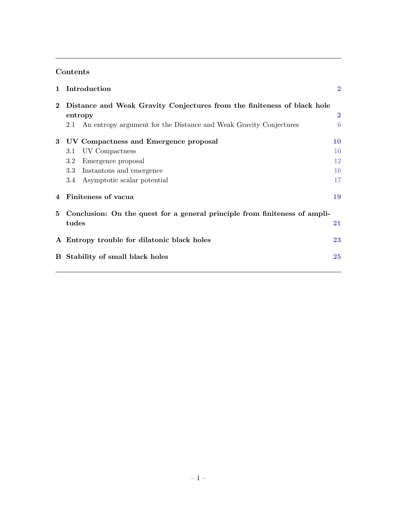# Contents

| $\mathbf{1}$ | Introduction                                                                                                                                                                 | $\bf{2}$                   |
|--------------|------------------------------------------------------------------------------------------------------------------------------------------------------------------------------|----------------------------|
| $\bf{2}$     | Distance and Weak Gravity Conjectures from the finiteness of black hole<br>entropy<br>An entropy argument for the Distance and Weak Gravity Conjectures<br>2.1               | $\bf{2}$<br>6              |
| 3            | UV Compactness and Emergence proposal<br>UV Compactness<br>3.1<br>Emergence proposal<br>$3.2\,$<br>$3.3\,$<br>Instantons and emergence<br>Asymptotic scalar potential<br>3.4 | 10<br>10<br>12<br>16<br>17 |
| 4            | Finiteness of vacua                                                                                                                                                          | 19                         |
| 5.           | Conclusion: On the quest for a general principle from finiteness of ampli-<br>tudes                                                                                          | 21                         |
|              | A Entropy trouble for dilatonic black holes                                                                                                                                  | 23                         |
| $\bf{B}$     | Stability of small black holes                                                                                                                                               | 25                         |

,我们也不会有什么。""我们的人,我们也不会有什么?""我们的人,我们也不会有什么?""我们的人,我们也不会有什么?""我们的人,我们也不会有什么?""我们的人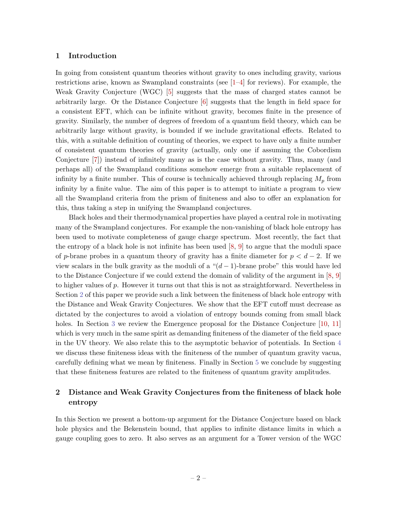# <span id="page-2-0"></span>1 Introduction

In going from consistent quantum theories without gravity to ones including gravity, various restrictions arise, known as Swampland constraints (see [\[1–](#page-25-1)[4\]](#page-26-0) for reviews). For example, the Weak Gravity Conjecture (WGC) [\[5\]](#page-26-1) suggests that the mass of charged states cannot be arbitrarily large. Or the Distance Conjecture [\[6\]](#page-26-2) suggests that the length in field space for a consistent EFT, which can be infinite without gravity, becomes finite in the presence of gravity. Similarly, the number of degrees of freedom of a quantum field theory, which can be arbitrarily large without gravity, is bounded if we include gravitational effects. Related to this, with a suitable definition of counting of theories, we expect to have only a finite number of consistent quantum theories of gravity (actually, only one if assuming the Cobordism Conjecture [\[7\]](#page-26-3)) instead of infinitely many as is the case without gravity. Thus, many (and perhaps all) of the Swampland conditions somehow emerge from a suitable replacement of infinity by a finite number. This of course is technically achieved through replacing  $M_p$  from infinity by a finite value. The aim of this paper is to attempt to initiate a program to view all the Swampland criteria from the prism of finiteness and also to offer an explanation for this, thus taking a step in unifying the Swampland conjectures.

Black holes and their thermodynamical properties have played a central role in motivating many of the Swampland conjectures. For example the non-vanishing of black hole entropy has been used to motivate completeness of gauge charge spectrum. Most recently, the fact that the entropy of a black hole is not infinite has been used  $[8, 9]$  $[8, 9]$  to argue that the moduli space of p-brane probes in a quantum theory of gravity has a finite diameter for  $p < d-2$ . If we view scalars in the bulk gravity as the moduli of a " $(d-1)$ -brane probe" this would have led to the Distance Conjecture if we could extend the domain of validity of the argument in [\[8,](#page-26-4) [9\]](#page-26-5) to higher values of p. However it turns out that this is not as straightforward. Nevertheless in Section [2](#page-2-1) of this paper we provide such a link between the finiteness of black hole entropy with the Distance and Weak Gravity Conjectures. We show that the EFT cutoff must decrease as dictated by the conjectures to avoid a violation of entropy bounds coming from small black holes. In Section [3](#page-10-0) we review the Emergence proposal for the Distance Conjecture [\[10,](#page-26-6) [11\]](#page-26-7) which is very much in the same spirit as demanding finiteness of the diameter of the field space in the UV theory. We also relate this to the asymptotic behavior of potentials. In Section [4](#page-19-0) we discuss these finiteness ideas with the finiteness of the number of quantum gravity vacua, carefully defining what we mean by finiteness. Finally in Section [5](#page-21-0) we conclude by suggesting that these finiteness features are related to the finiteness of quantum gravity amplitudes.

# <span id="page-2-1"></span>2 Distance and Weak Gravity Conjectures from the finiteness of black hole entropy

In this Section we present a bottom-up argument for the Distance Conjecture based on black hole physics and the Bekenstein bound, that applies to infinite distance limits in which a gauge coupling goes to zero. It also serves as an argument for a Tower version of the WGC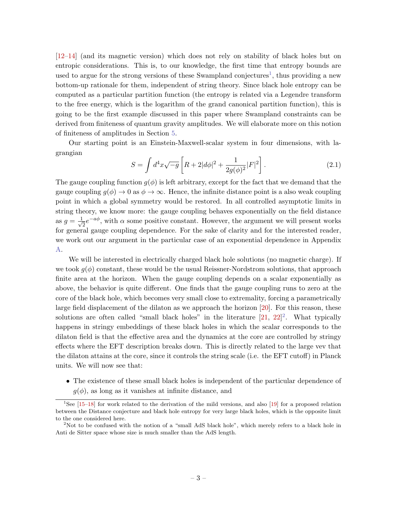[\[12–](#page-26-8)[14\]](#page-26-9) (and its magnetic version) which does not rely on stability of black holes but on entropic considerations. This is, to our knowledge, the first time that entropy bounds are used to argue for the strong versions of these Swampland conjectures<sup>[1](#page-3-0)</sup>, thus providing a new bottom-up rationale for them, independent of string theory. Since black hole entropy can be computed as a particular partition function (the entropy is related via a Legendre transform to the free energy, which is the logarithm of the grand canonical partition function), this is going to be the first example discussed in this paper where Swampland constraints can be derived from finiteness of quantum gravity amplitudes. We will elaborate more on this notion of finiteness of amplitudes in Section [5.](#page-21-0)

Our starting point is an Einstein-Maxwell-scalar system in four dimensions, with lagrangian

<span id="page-3-2"></span>
$$
S = \int d^4x \sqrt{-g} \left[ R + 2|d\phi|^2 + \frac{1}{2g(\phi)^2} |F|^2 \right].
$$
 (2.1)

The gauge coupling function  $g(\phi)$  is left arbitrary, except for the fact that we demand that the gauge coupling  $g(\phi) \to 0$  as  $\phi \to \infty$ . Hence, the infinite distance point is a also weak coupling point in which a global symmetry would be restored. In all controlled asymptotic limits in string theory, we know more: the gauge coupling behaves exponentially on the field distance as  $g = \frac{1}{4}$  $\overline{z}e^{-a\phi}$ , with  $\alpha$  some positive constant. However, the argument we will present works for general gauge coupling dependence. For the sake of clarity and for the interested reader, we work out our argument in the particular case of an exponential dependence in Appendix [A.](#page-23-0)

We will be interested in electrically charged black hole solutions (no magnetic charge). If we took  $q(\phi)$  constant, these would be the usual Reissner-Nordstrom solutions, that approach finite area at the horizon. When the gauge coupling depends on a scalar exponentially as above, the behavior is quite different. One finds that the gauge coupling runs to zero at the core of the black hole, which becomes very small close to extremality, forcing a parametrically large field displacement of the dilaton as we approach the horizon [\[20\]](#page-26-10). For this reason, these solutions are often called "small black holes" in the literature  $[21, 22]^2$  $[21, 22]^2$  $[21, 22]^2$  $[21, 22]^2$ . What typically happens in stringy embeddings of these black holes in which the scalar corresponds to the dilaton field is that the effective area and the dynamics at the core are controlled by stringy effects where the EFT description breaks down. This is directly related to the large vev that the dilaton attains at the core, since it controls the string scale (i.e. the EFT cutoff) in Planck units. We will now see that:

• The existence of these small black holes is independent of the particular dependence of  $g(\phi)$ , as long as it vanishes at infinite distance, and

<span id="page-3-0"></span><sup>1</sup>See [\[15](#page-26-13)[–18\]](#page-26-14) for work related to the derivation of the mild versions, and also [\[19\]](#page-26-15) for a proposed relation between the Distance conjecture and black hole entropy for very large black holes, which is the opposite limit to the one considered here.

<span id="page-3-1"></span><sup>&</sup>lt;sup>2</sup>Not to be confused with the notion of a "small AdS black hole", which merely refers to a black hole in Anti de Sitter space whose size is much smaller than the AdS length.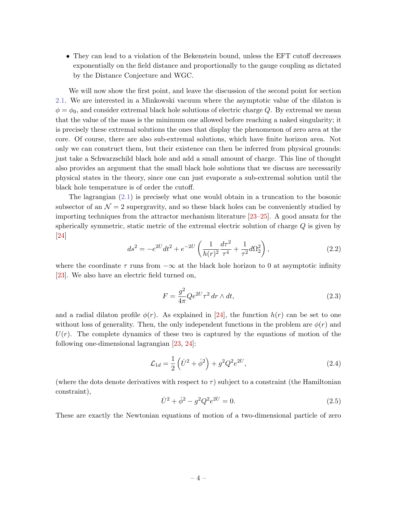• They can lead to a violation of the Bekenstein bound, unless the EFT cutoff decreases exponentially on the field distance and proportionally to the gauge coupling as dictated by the Distance Conjecture and WGC.

We will now show the first point, and leave the discussion of the second point for section [2.1.](#page-6-0) We are interested in a Minkowski vacuum where the asymptotic value of the dilaton is  $\phi = \phi_0$ , and consider extremal black hole solutions of electric charge Q. By extremal we mean that the value of the mass is the minimum one allowed before reaching a naked singularity; it is precisely these extremal solutions the ones that display the phenomenon of zero area at the core. Of course, there are also sub-extremal solutions, which have finite horizon area. Not only we can construct them, but their existence can then be inferred from physical grounds: just take a Schwarzschild black hole and add a small amount of charge. This line of thought also provides an argument that the small black hole solutions that we discuss are necessarily physical states in the theory, since one can just evaporate a sub-extremal solution until the black hole temperature is of order the cutoff.

The lagrangian  $(2.1)$  is precisely what one would obtain in a truncation to the bosonic subsector of an  $\mathcal{N}=2$  supergravity, and so these black holes can be conveniently studied by importing techniques from the attractor mechanism literature [\[23–](#page-27-0)[25\]](#page-27-1). A good ansatz for the spherically symmetric, static metric of the extremal electric solution of charge Q is given by [\[24\]](#page-27-2)

$$
ds^{2} = -e^{2U}dt^{2} + e^{-2U}\left(\frac{1}{h(r)^{2}}\frac{d\tau^{2}}{\tau^{4}} + \frac{1}{\tau^{2}}d\Omega_{2}^{2}\right),
$$
\n(2.2)

where the coordinate  $\tau$  runs from  $-\infty$  at the black hole horizon to 0 at asymptotic infinity [\[23\]](#page-27-0). We also have an electric field turned on,

<span id="page-4-1"></span>
$$
F = \frac{g^2}{4\pi} Q e^{2U} \tau^2 \, dr \wedge dt,\tag{2.3}
$$

and a radial dilaton profile  $\phi(r)$ . As explained in [\[24\]](#page-27-2), the function  $h(r)$  can be set to one without loss of generality. Then, the only independent functions in the problem are  $\phi(r)$  and  $U(r)$ . The complete dynamics of these two is captured by the equations of motion of the following one-dimensional lagrangian [\[23,](#page-27-0) [24\]](#page-27-2):

$$
\mathcal{L}_{1d} = \frac{1}{2} \left( \dot{U}^2 + \dot{\phi}^2 \right) + g^2 Q^2 e^{2U}, \qquad (2.4)
$$

(where the dots denote derivatives with respect to  $\tau$ ) subject to a constraint (the Hamiltonian constraint),

<span id="page-4-0"></span>
$$
\dot{U}^2 + \dot{\phi}^2 - g^2 Q^2 e^{2U} = 0.
$$
\n(2.5)

These are exactly the Newtonian equations of motion of a two-dimensional particle of zero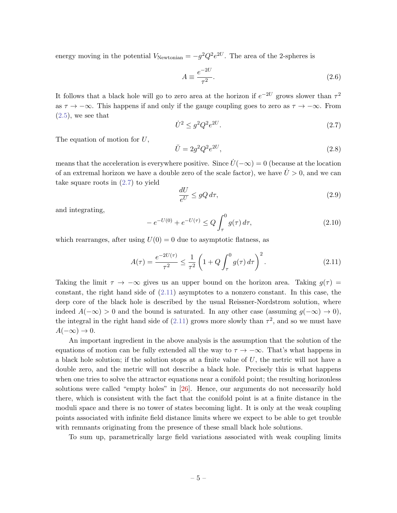energy moving in the potential  $V_{\text{Newtonian}} = -g^2 Q^2 e^{2U}$ . The area of the 2-spheres is

$$
A \equiv \frac{e^{-2U}}{\tau^2}.\tag{2.6}
$$

It follows that a black hole will go to zero area at the horizon if  $e^{-2U}$  grows slower than  $\tau^2$ as  $\tau \to -\infty$ . This happens if and only if the gauge coupling goes to zero as  $\tau \to -\infty$ . From  $(2.5)$ , we see that

<span id="page-5-0"></span>
$$
\dot{U}^2 \le g^2 Q^2 e^{2U}.\tag{2.7}
$$

The equation of motion for U,

<span id="page-5-2"></span>
$$
\ddot{U} = 2g^2 Q^2 e^{2U},\tag{2.8}
$$

means that the acceleration is everywhere positive. Since  $\dot{U}(-\infty) = 0$  (because at the location of an extremal horizon we have a double zero of the scale factor), we have  $\ddot{U} > 0$ , and we can take square roots in [\(2.7\)](#page-5-0) to yield

$$
\frac{dU}{e^U} \le gQ \, d\tau,\tag{2.9}
$$

and integrating,

$$
-e^{-U(0)} + e^{-U(\tau)} \le Q \int_{\tau}^{0} g(\tau) d\tau,
$$
\n(2.10)

which rearranges, after using  $U(0) = 0$  due to asymptotic flatness, as

<span id="page-5-1"></span>
$$
A(\tau) = \frac{e^{-2U(\tau)}}{\tau^2} \le \frac{1}{\tau^2} \left( 1 + Q \int_{\tau}^0 g(\tau) d\tau \right)^2.
$$
 (2.11)

Taking the limit  $\tau \to -\infty$  gives us an upper bound on the horizon area. Taking  $g(\tau) =$ constant, the right hand side of  $(2.11)$  asymptotes to a nonzero constant. In this case, the deep core of the black hole is described by the usual Reissner-Nordstrom solution, where indeed  $A(-\infty) > 0$  and the bound is saturated. In any other case (assuming  $g(-\infty) \to 0$ ), the integral in the right hand side of  $(2.11)$  grows more slowly than  $\tau^2$ , and so we must have  $A(-\infty) \to 0.$ 

An important ingredient in the above analysis is the assumption that the solution of the equations of motion can be fully extended all the way to  $\tau \to -\infty$ . That's what happens in a black hole solution; if the solution stops at a finite value of  $U$ , the metric will not have a double zero, and the metric will not describe a black hole. Precisely this is what happens when one tries to solve the attractor equations near a conifold point; the resulting horizonless solutions were called "empty holes" in [\[26\]](#page-27-3). Hence, our arguments do not necessarily hold there, which is consistent with the fact that the conifold point is at a finite distance in the moduli space and there is no tower of states becoming light. It is only at the weak coupling points associated with infinite field distance limits where we expect to be able to get trouble with remnants originating from the presence of these small black hole solutions.

To sum up, parametrically large field variations associated with weak coupling limits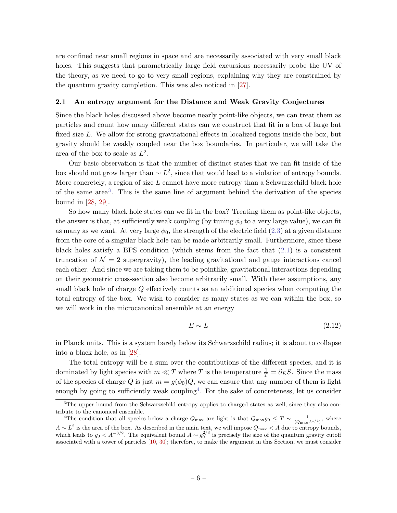are confined near small regions in space and are necessarily associated with very small black holes. This suggests that parametrically large field excursions necessarily probe the UV of the theory, as we need to go to very small regions, explaining why they are constrained by the quantum gravity completion. This was also noticed in [\[27\]](#page-27-4).

# <span id="page-6-0"></span>2.1 An entropy argument for the Distance and Weak Gravity Conjectures

Since the black holes discussed above become nearly point-like objects, we can treat them as particles and count how many different states can we construct that fit in a box of large but fixed size L. We allow for strong gravitational effects in localized regions inside the box, but gravity should be weakly coupled near the box boundaries. In particular, we will take the area of the box to scale as  $L^2$ .

Our basic observation is that the number of distinct states that we can fit inside of the box should not grow larger than  $\sim L^2$ , since that would lead to a violation of entropy bounds. More concretely, a region of size  $L$  cannot have more entropy than a Schwarzschild black hole of the same area<sup>[3](#page-6-1)</sup>. This is the same line of argument behind the derivation of the species bound in [\[28,](#page-27-5) [29\]](#page-27-6).

So how many black hole states can we fit in the box? Treating them as point-like objects, the answer is that, at sufficiently weak coupling (by tuning  $\phi_0$  to a very large value), we can fit as many as we want. At very large  $\phi_0$ , the strength of the electric field [\(2.3\)](#page-4-1) at a given distance from the core of a singular black hole can be made arbitrarily small. Furthermore, since these black holes satisfy a BPS condition (which stems from the fact that  $(2.1)$ ) is a consistent truncation of  $\mathcal{N} = 2$  supergravity), the leading gravitational and gauge interactions cancel each other. And since we are taking them to be pointlike, gravitational interactions depending on their geometric cross-section also become arbitrarily small. With these assumptions, any small black hole of charge Q effectively counts as an additional species when computing the total entropy of the box. We wish to consider as many states as we can within the box, so we will work in the microcanonical ensemble at an energy

<span id="page-6-3"></span>
$$
E \sim L \tag{2.12}
$$

in Planck units. This is a system barely below its Schwarzschild radius; it is about to collapse into a black hole, as in [\[28\]](#page-27-5).

The total entropy will be a sum over the contributions of the different species, and it is dominated by light species with  $m \ll T$  where T is the temperature  $\frac{1}{T} = \partial_E S$ . Since the mass of the species of charge Q is just  $m = g(\phi_0)Q$ , we can ensure that any number of them is light enough by going to sufficiently weak coupling<sup>[4](#page-6-2)</sup>. For the sake of concreteness, let us consider

<span id="page-6-1"></span><sup>&</sup>lt;sup>3</sup>The upper bound from the Schwarzschild entropy applies to charged states as well, since they also contribute to the canonical ensemble.

<span id="page-6-2"></span><sup>&</sup>lt;sup>4</sup>The condition that all species below a charge  $Q_{\text{max}}$  are light is that  $Q_{\text{max}}g_0 \leq T \sim \frac{1}{(Q_{\text{max}}A^{1/4})}$ , where  $A \sim L^2$  is the area of the box. As described in the main text, we will impose  $Q_{\text{max}} < A$  due to entropy bounds, which leads to  $g_0 < A^{-3/2}$ . The equivalent bound  $A \sim g_0^{2/3}$  is precisely the size of the quantum gravity cutoff associated with a tower of particles [\[10,](#page-26-6) [30\]](#page-27-7); therefore, to make the argument in this Section, we must consider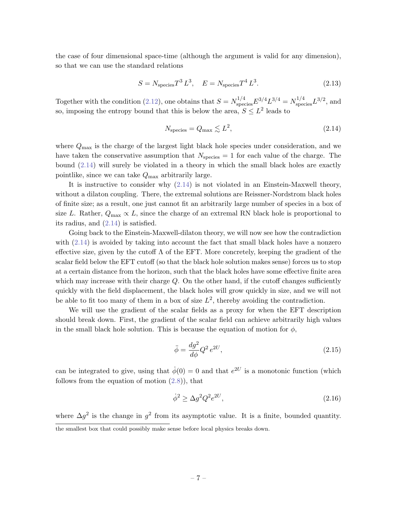the case of four dimensional space-time (although the argument is valid for any dimension), so that we can use the standard relations

$$
S = N_{\text{species}} T^3 L^3, \quad E = N_{\text{species}} T^4 L^3. \tag{2.13}
$$

Together with the condition [\(2.12\)](#page-6-3), one obtains that  $S = N_{\text{species}}^{1/4} E^{3/4} = N_{\text{species}}^{1/4} L^{3/2}$ , and so, imposing the entropy bound that this is below the area,  $S \leq L^2$  leads to

<span id="page-7-0"></span>
$$
N_{\text{species}} = Q_{\text{max}} \lesssim L^2,\tag{2.14}
$$

where  $Q_{\text{max}}$  is the charge of the largest light black hole species under consideration, and we have taken the conservative assumption that  $N_{\text{species}} = 1$  for each value of the charge. The bound [\(2.14\)](#page-7-0) will surely be violated in a theory in which the small black holes are exactly pointlike, since we can take  $Q_{\text{max}}$  arbitrarily large.

It is instructive to consider why [\(2.14\)](#page-7-0) is not violated in an Einstein-Maxwell theory, without a dilaton coupling. There, the extremal solutions are Reissner-Nordstrom black holes of finite size; as a result, one just cannot fit an arbitrarily large number of species in a box of size L. Rather,  $Q_{\text{max}} \propto L$ , since the charge of an extremal RN black hole is proportional to its radius, and [\(2.14\)](#page-7-0) is satisfied.

Going back to the Einstein-Maxwell-dilaton theory, we will now see how the contradiction with  $(2.14)$  is avoided by taking into account the fact that small black holes have a nonzero effective size, given by the cutoff  $\Lambda$  of the EFT. More concretely, keeping the gradient of the scalar field below the EFT cutoff (so that the black hole solution makes sense) forces us to stop at a certain distance from the horizon, such that the black holes have some effective finite area which may increase with their charge  $Q$ . On the other hand, if the cutoff changes sufficiently quickly with the field displacement, the black holes will grow quickly in size, and we will not be able to fit too many of them in a box of size  $L^2$ , thereby avoiding the contradiction.

We will use the gradient of the scalar fields as a proxy for when the EFT description should break down. First, the gradient of the scalar field can achieve arbitrarily high values in the small black hole solution. This is because the equation of motion for  $\phi$ ,

$$
\ddot{\phi} = \frac{dg^2}{d\phi} Q^2 e^{2U},\tag{2.15}
$$

can be integrated to give, using that  $\dot{\phi}(0) = 0$  and that  $e^{2U}$  is a monotonic function (which follows from the equation of motion  $(2.8)$ , that

$$
\dot{\phi}^2 \ge \Delta g^2 Q^2 e^{2U},\tag{2.16}
$$

where  $\Delta g^2$  is the change in  $g^2$  from its asymptotic value. It is a finite, bounded quantity. the smallest box that could possibly make sense before local physics breaks down.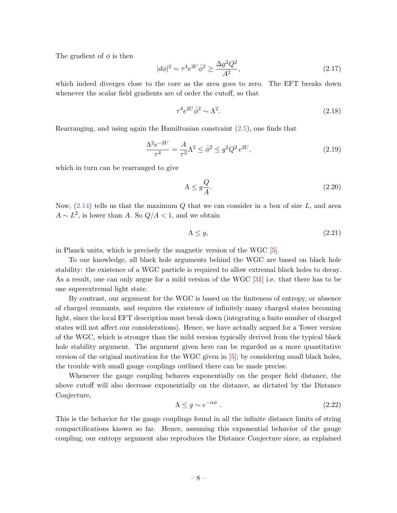The gradient of  $\phi$  is then

$$
|d\phi|^2 = \tau^4 e^{2U} \dot{\phi}^2 \ge \frac{\Delta g^2 Q^2}{A^2},\tag{2.17}
$$

which indeed diverges close to the core as the area goes to zero. The EFT breaks down whenever the scalar field gradients are of order the cutoff, so that

$$
\tau^4 e^{2U} \dot{\phi}^2 \sim \Lambda^2. \tag{2.18}
$$

Rearranging, and using again the Hamiltonian constraint [\(2.5\)](#page-4-0), one finds that

$$
\frac{\Lambda^2 e^{-2U}}{\tau^4} = \frac{A}{\tau^2} \Lambda^2 \le \dot{\phi}^2 \le g^2 Q^2 e^{2U},\tag{2.19}
$$

which in turn can be rearranged to give

$$
\Lambda \le g \frac{Q}{A}.\tag{2.20}
$$

Now,  $(2.14)$  tells us that the maximum Q that we can consider in a box of size L, and area  $A \sim L^2$ , is lower than A. So  $Q/A < 1$ , and we obtain

$$
\Lambda \le g,\tag{2.21}
$$

in Planck units, which is precisely the magnetic version of the WGC [\[5\]](#page-26-1).

To our knowledge, all black hole arguments behind the WGC are based on black hole stability: the existence of a WGC particle is required to allow extremal black holes to decay. As a result, one can only argue for a mild version of the WGC [\[31\]](#page-27-8) i.e. that there has to be one superextremal light state.

By contrast, our argument for the WGC is based on the finiteness of entropy, or absence of charged remnants, and requires the existence of infinitely many charged states becoming light, since the local EFT description must break down (integrating a finite number of charged states will not affect our considerations). Hence, we have actually argued for a Tower version of the WGC, which is stronger than the mild version typically derived from the typical black hole stability argument. The argument given here can be regarded as a more quantitative version of the original motivation for the WGC given in [\[5\]](#page-26-1); by considering small black holes, the trouble with small gauge couplings outlined there can be made precise.

Whenever the gauge coupling behaves exponentially on the proper field distance, the above cutoff will also decrease exponentially on the distance, as dictated by the Distance Conjecture,

$$
\Lambda \le g \sim e^{-\alpha \phi} \tag{2.22}
$$

This is the behavior for the gauge couplings found in all the infinite distance limits of string compactifications known so far. Hence, assuming this exponential behavior of the gauge coupling, our entropy argument also reproduces the Distance Conjecture since, as explained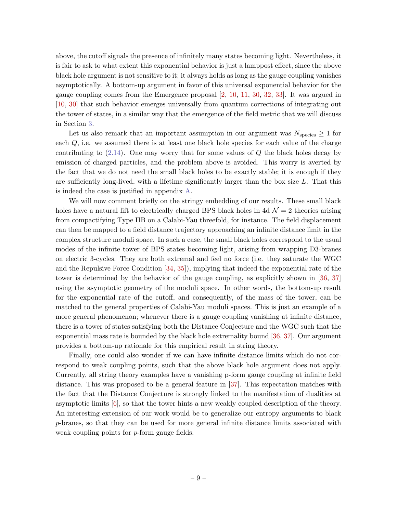above, the cutoff signals the presence of infinitely many states becoming light. Nevertheless, it is fair to ask to what extent this exponential behavior is just a lamppost effect, since the above black hole argument is not sensitive to it; it always holds as long as the gauge coupling vanishes asymptotically. A bottom-up argument in favor of this universal exponential behavior for the gauge coupling comes from the Emergence proposal [\[2,](#page-25-2) [10,](#page-26-6) [11,](#page-26-7) [30,](#page-27-7) [32,](#page-27-9) [33\]](#page-27-10). It was argued in [\[10,](#page-26-6) [30\]](#page-27-7) that such behavior emerges universally from quantum corrections of integrating out the tower of states, in a similar way that the emergence of the field metric that we will discuss in Section [3.](#page-10-0)

Let us also remark that an important assumption in our argument was  $N_{\text{species}} \geq 1$  for each  $Q$ , i.e. we assumed there is at least one black hole species for each value of the charge contributing to  $(2.14)$ . One may worry that for some values of Q the black holes decay by emission of charged particles, and the problem above is avoided. This worry is averted by the fact that we do not need the small black holes to be exactly stable; it is enough if they are sufficiently long-lived, with a lifetime significantly larger than the box size  $L$ . That this is indeed the case is justified in appendix [A.](#page-23-0)

We will now comment briefly on the stringy embedding of our results. These small black holes have a natural lift to electrically charged BPS black holes in 4d  $\mathcal{N}=2$  theories arising from compactifying Type IIB on a Calabi-Yau threefold, for instance. The field displacement can then be mapped to a field distance trajectory approaching an infinite distance limit in the complex structure moduli space. In such a case, the small black holes correspond to the usual modes of the infinite tower of BPS states becoming light, arising from wrapping D3-branes on electric 3-cycles. They are both extremal and feel no force (i.e. they saturate the WGC and the Repulsive Force Condition [\[34,](#page-27-11) [35\]](#page-27-12)), implying that indeed the exponential rate of the tower is determined by the behavior of the gauge coupling, as explicitly shown in [\[36,](#page-27-13) [37\]](#page-27-14) using the asymptotic geometry of the moduli space. In other words, the bottom-up result for the exponential rate of the cutoff, and consequently, of the mass of the tower, can be matched to the general properties of Calabi-Yau moduli spaces. This is just an example of a more general phenomenon; whenever there is a gauge coupling vanishing at infinite distance, there is a tower of states satisfying both the Distance Conjecture and the WGC such that the exponential mass rate is bounded by the black hole extremality bound [\[36,](#page-27-13) [37\]](#page-27-14). Our argument provides a bottom-up rationale for this empirical result in string theory.

Finally, one could also wonder if we can have infinite distance limits which do not correspond to weak coupling points, such that the above black hole argument does not apply. Currently, all string theory examples have a vanishing p-form gauge coupling at infinite field distance. This was proposed to be a general feature in [\[37\]](#page-27-14). This expectation matches with the fact that the Distance Conjecture is strongly linked to the manifestation of dualities at asymptotic limits  $[6]$ , so that the tower hints a new weakly coupled description of the theory. An interesting extension of our work would be to generalize our entropy arguments to black p-branes, so that they can be used for more general infinite distance limits associated with weak coupling points for *p*-form gauge fields.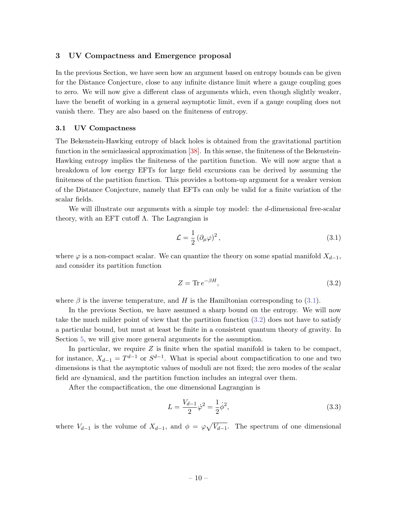# <span id="page-10-0"></span>3 UV Compactness and Emergence proposal

In the previous Section, we have seen how an argument based on entropy bounds can be given for the Distance Conjecture, close to any infinite distance limit where a gauge coupling goes to zero. We will now give a different class of arguments which, even though slightly weaker, have the benefit of working in a general asymptotic limit, even if a gauge coupling does not vanish there. They are also based on the finiteness of entropy.

### <span id="page-10-1"></span>3.1 UV Compactness

The Bekenstein-Hawking entropy of black holes is obtained from the gravitational partition function in the semiclassical approximation [\[38\]](#page-27-15). In this sense, the finiteness of the Bekenstein-Hawking entropy implies the finiteness of the partition function. We will now argue that a breakdown of low energy EFTs for large field excursions can be derived by assuming the finiteness of the partition function. This provides a bottom-up argument for a weaker version of the Distance Conjecture, namely that EFTs can only be valid for a finite variation of the scalar fields.

We will illustrate our arguments with a simple toy model: the d-dimensional free-scalar theory, with an EFT cutoff  $Λ$ . The Lagrangian is

<span id="page-10-2"></span>
$$
\mathcal{L} = \frac{1}{2} \left( \partial_{\mu} \varphi \right)^2, \tag{3.1}
$$

where  $\varphi$  is a non-compact scalar. We can quantize the theory on some spatial manifold  $X_{d-1}$ , and consider its partition function

<span id="page-10-3"></span>
$$
Z = \text{Tr} \, e^{-\beta H},\tag{3.2}
$$

where  $\beta$  is the inverse temperature, and H is the Hamiltonian corresponding to [\(3.1\)](#page-10-2).

In the previous Section, we have assumed a sharp bound on the entropy. We will now take the much milder point of view that the partition function [\(3.2\)](#page-10-3) does not have to satisfy a particular bound, but must at least be finite in a consistent quantum theory of gravity. In Section [5,](#page-21-0) we will give more general arguments for the assumption.

In particular, we require  $Z$  is finite when the spatial manifold is taken to be compact, for instance,  $X_{d-1} = T^{d-1}$  or  $S^{d-1}$ . What is special about compactification to one and two dimensions is that the asymptotic values of moduli are not fixed; the zero modes of the scalar field are dynamical, and the partition function includes an integral over them.

After the compactification, the one dimensional Lagrangian is

$$
L = \frac{V_{d-1}}{2} \dot{\varphi}^2 = \frac{1}{2} \dot{\phi}^2,\tag{3.3}
$$

where  $V_{d-1}$  is the volume of  $X_{d-1}$ , and  $\phi = \varphi \sqrt{V_{d-1}}$ . The spectrum of one dimensional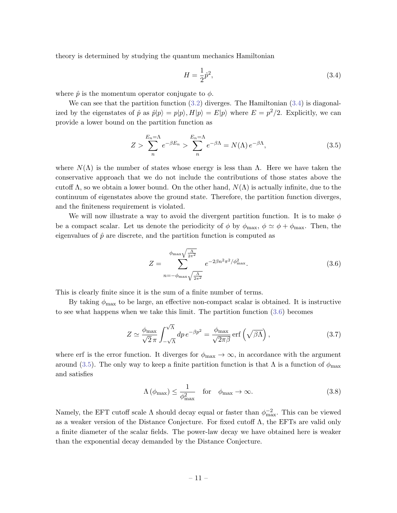theory is determined by studying the quantum mechanics Hamiltonian

<span id="page-11-2"></span><span id="page-11-0"></span>
$$
H = \frac{1}{2}\hat{p}^2,\tag{3.4}
$$

where  $\hat{p}$  is the momentum operator conjugate to  $\phi$ .

We can see that the partition function  $(3.2)$  diverges. The Hamiltonian  $(3.4)$  is diagonalized by the eigenstates of  $\hat{p}$  as  $\hat{p}|p\rangle = p|p\rangle$ ,  $H|p\rangle = E|p\rangle$  where  $E = p^2/2$ . Explicitly, we can provide a lower bound on the partition function as

$$
Z > \sum_{n}^{E_n = \Lambda} e^{-\beta E_n} > \sum_{n}^{E_n = \Lambda} e^{-\beta \Lambda} = N(\Lambda) e^{-\beta \Lambda}, \qquad (3.5)
$$

where  $N(\Lambda)$  is the number of states whose energy is less than  $\Lambda$ . Here we have taken the conservative approach that we do not include the contributions of those states above the cutoff  $\Lambda$ , so we obtain a lower bound. On the other hand,  $N(\Lambda)$  is actually infinite, due to the continuum of eigenstates above the ground state. Therefore, the partition function diverges, and the finiteness requirement is violated.

We will now illustrate a way to avoid the divergent partition function. It is to make  $\phi$ be a compact scalar. Let us denote the periodicity of  $\phi$  by  $\phi_{\text{max}}$ ,  $\phi \simeq \phi + \phi_{\text{max}}$ . Then, the eigenvalues of  $\hat{p}$  are discrete, and the partition function is computed as

<span id="page-11-1"></span>
$$
Z = \sum_{n=-\phi_{\text{max}}\sqrt{\frac{\Lambda}{2\pi^2}}}^{\phi_{\text{max}}\sqrt{\frac{\Lambda}{2\pi^2}}} e^{-2\beta n^2 \pi^2/\phi_{\text{max}}^2}.
$$
 (3.6)

This is clearly finite since it is the sum of a finite number of terms.

By taking  $\phi_{\text{max}}$  to be large, an effective non-compact scalar is obtained. It is instructive to see what happens when we take this limit. The partition function [\(3.6\)](#page-11-1) becomes

$$
Z \simeq \frac{\phi_{\text{max}}}{\sqrt{2}\pi} \int_{-\sqrt{\Lambda}}^{\sqrt{\Lambda}} dp \, e^{-\beta p^2} = \frac{\phi_{\text{max}}}{\sqrt{2\pi\beta}} \operatorname{erf}\left(\sqrt{\beta\Lambda}\right),\tag{3.7}
$$

where erf is the error function. It diverges for  $\phi_{\text{max}} \to \infty$ , in accordance with the argument around [\(3.5\)](#page-11-2). The only way to keep a finite partition function is that  $\Lambda$  is a function of  $\phi_{\text{max}}$ and satisfies

<span id="page-11-3"></span>
$$
\Lambda\left(\phi_{\text{max}}\right) \le \frac{1}{\phi_{\text{max}}^2} \quad \text{for} \quad \phi_{\text{max}} \to \infty. \tag{3.8}
$$

Namely, the EFT cutoff scale  $\Lambda$  should decay equal or faster than  $\phi_{\text{max}}^{-2}$ . This can be viewed as a weaker version of the Distance Conjecture. For fixed cutoff  $\Lambda$ , the EFTs are valid only a finite diameter of the scalar fields. The power-law decay we have obtained here is weaker than the exponential decay demanded by the Distance Conjecture.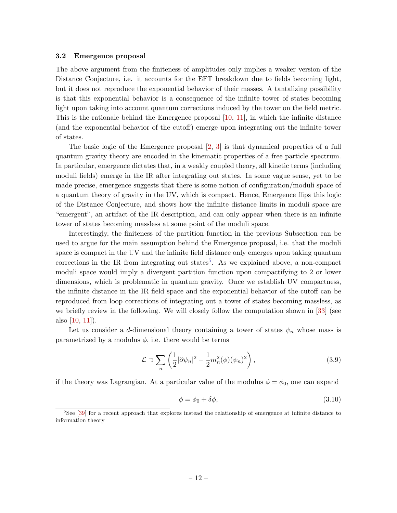#### <span id="page-12-0"></span>3.2 Emergence proposal

The above argument from the finiteness of amplitudes only implies a weaker version of the Distance Conjecture, i.e. it accounts for the EFT breakdown due to fields becoming light, but it does not reproduce the exponential behavior of their masses. A tantalizing possibility is that this exponential behavior is a consequence of the infinite tower of states becoming light upon taking into account quantum corrections induced by the tower on the field metric. This is the rationale behind the Emergence proposal [\[10,](#page-26-6) [11\]](#page-26-7), in which the infinite distance (and the exponential behavior of the cutoff) emerge upon integrating out the infinite tower of states.

The basic logic of the Emergence proposal [\[2,](#page-25-2) [3\]](#page-26-16) is that dynamical properties of a full quantum gravity theory are encoded in the kinematic properties of a free particle spectrum. In particular, emergence dictates that, in a weakly coupled theory, all kinetic terms (including moduli fields) emerge in the IR after integrating out states. In some vague sense, yet to be made precise, emergence suggests that there is some notion of configuration/moduli space of a quantum theory of gravity in the UV, which is compact. Hence, Emergence flips this logic of the Distance Conjecture, and shows how the infinite distance limits in moduli space are "emergent", an artifact of the IR description, and can only appear when there is an infinite tower of states becoming massless at some point of the moduli space.

Interestingly, the finiteness of the partition function in the previous Subsection can be used to argue for the main assumption behind the Emergence proposal, i.e. that the moduli space is compact in the UV and the infinite field distance only emerges upon taking quantum corrections in the IR from integrating out states<sup>[5](#page-12-1)</sup>. As we explained above, a non-compact moduli space would imply a divergent partition function upon compactifying to 2 or lower dimensions, which is problematic in quantum gravity. Once we establish UV compactness, the infinite distance in the IR field space and the exponential behavior of the cutoff can be reproduced from loop corrections of integrating out a tower of states becoming massless, as we briefly review in the following. We will closely follow the computation shown in [\[33\]](#page-27-10) (see also [\[10,](#page-26-6) [11\]](#page-26-7)).

Let us consider a d-dimensional theory containing a tower of states  $\psi_n$  whose mass is parametrized by a modulus  $\phi$ , i.e. there would be terms

<span id="page-12-2"></span>
$$
\mathcal{L} \supset \sum_{n} \left( \frac{1}{2} |\partial \psi_n|^2 - \frac{1}{2} m_n^2(\phi)(\psi_n)^2 \right), \tag{3.9}
$$

if the theory was Lagrangian. At a particular value of the modulus  $\phi = \phi_0$ , one can expand

$$
\phi = \phi_0 + \delta\phi,\tag{3.10}
$$

<span id="page-12-1"></span><sup>&</sup>lt;sup>5</sup>See [\[39\]](#page-27-16) for a recent approach that explores instead the relationship of emergence at infinite distance to information theory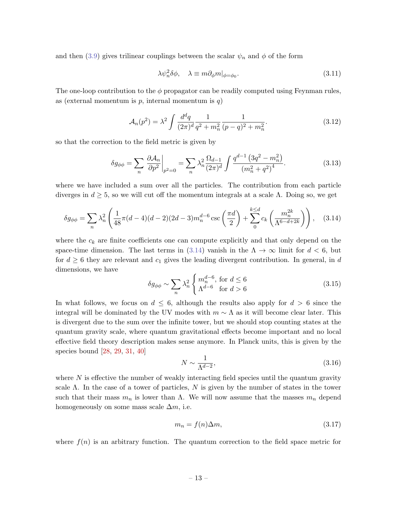and then [\(3.9\)](#page-12-2) gives trilinear couplings between the scalar  $\psi_n$  and  $\phi$  of the form

$$
\lambda \psi_n^2 \delta \phi, \quad \lambda \equiv m \partial_{\phi} m|_{\phi = \phi_0}.
$$
\n(3.11)

The one-loop contribution to the  $\phi$  propagator can be readily computed using Feynman rules, as (external momentum is  $p$ , internal momentum is  $q$ )

$$
\mathcal{A}_n(p^2) = \lambda^2 \int \frac{d^d q}{(2\pi)^d} \frac{1}{q^2 + m_n^2} \frac{1}{(p-q)^2 + m_n^2}.
$$
\n(3.12)

so that the correction to the field metric is given by

$$
\delta g_{\phi\phi} = \sum_{n} \left. \frac{\partial \mathcal{A}_n}{\partial p^2} \right|_{p^2 = 0} = \sum_{n} \lambda_n^2 \frac{\Omega_{d-1}}{(2\pi)^d} \int \frac{q^{d-1} (3q^2 - m_n^2)}{(m_n^2 + q^2)^4}.
$$
 (3.13)

where we have included a sum over all the particles. The contribution from each particle diverges in  $d \geq 5$ , so we will cut off the momentum integrals at a scale  $\Lambda$ . Doing so, we get

<span id="page-13-0"></span>
$$
\delta g_{\phi\phi} = \sum_{n} \lambda_n^2 \left( \frac{1}{48} \pi (d-4)(d-2)(2d-3) m_n^{d-6} \csc\left(\frac{\pi d}{2}\right) + \sum_{0}^{k \le d} c_k \left( \frac{m_n^{2k}}{\Lambda^{6-d+2k}} \right) \right), \quad (3.14)
$$

where the  $c_k$  are finite coefficients one can compute explicitly and that only depend on the space-time dimension. The last terms in [\(3.14\)](#page-13-0) vanish in the  $\Lambda \to \infty$  limit for  $d < 6$ , but for  $d \geq 6$  they are relevant and  $c_1$  gives the leading divergent contribution. In general, in d dimensions, we have

<span id="page-13-2"></span>
$$
\delta g_{\phi\phi} \sim \sum_{n} \lambda_n^2 \begin{cases} m_n^{d-6}, \text{ for } d \le 6\\ \Lambda^{d-6} \text{ for } d > 6 \end{cases}
$$
 (3.15)

In what follows, we focus on  $d \leq 6$ , although the results also apply for  $d > 6$  since the integral will be dominated by the UV modes with  $m \sim \Lambda$  as it will become clear later. This is divergent due to the sum over the infinite tower, but we should stop counting states at the quantum gravity scale, where quantum gravitational effects become important and no local effective field theory description makes sense anymore. In Planck units, this is given by the species bound [\[28,](#page-27-5) [29,](#page-27-6) [31,](#page-27-8) [40\]](#page-27-17)

<span id="page-13-1"></span>
$$
N \sim \frac{1}{\Lambda^{d-2}},\tag{3.16}
$$

where  $N$  is effective the number of weakly interacting field species until the quantum gravity scale  $\Lambda$ . In the case of a tower of particles, N is given by the number of states in the tower such that their mass  $m_n$  is lower than  $\Lambda$ . We will now assume that the masses  $m_n$  depend homogeneously on some mass scale  $\Delta m$ , i.e.

$$
m_n = f(n)\Delta m,\tag{3.17}
$$

where  $f(n)$  is an arbitrary function. The quantum correction to the field space metric for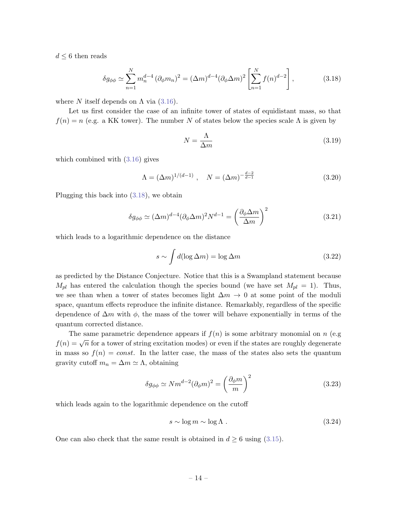$d \leq 6$  then reads

<span id="page-14-0"></span>
$$
\delta g_{\phi\phi} \simeq \sum_{n=1}^{N} m_n^{d-4} \left( \partial_{\phi} m_n \right)^2 = (\Delta m)^{d-4} (\partial_{\phi} \Delta m)^2 \left[ \sum_{n=1}^{N} f(n)^{d-2} \right],
$$
 (3.18)

where N itself depends on  $\Lambda$  via [\(3.16\)](#page-13-1).

Let us first consider the case of an infinite tower of states of equidistant mass, so that  $f(n) = n$  (e.g. a KK tower). The number N of states below the species scale  $\Lambda$  is given by

$$
N = \frac{\Lambda}{\Delta m} \tag{3.19}
$$

which combined with [\(3.16\)](#page-13-1) gives

$$
\Lambda = (\Delta m)^{1/(d-1)}, \quad N = (\Delta m)^{-\frac{d-2}{d-1}} \tag{3.20}
$$

Plugging this back into [\(3.18\)](#page-14-0), we obtain

$$
\delta g_{\phi\phi} \simeq (\Delta m)^{d-4} (\partial_{\phi} \Delta m)^2 N^{d-1} = \left(\frac{\partial_{\phi} \Delta m}{\Delta m}\right)^2 \tag{3.21}
$$

which leads to a logarithmic dependence on the distance

$$
s \sim \int d(\log \Delta m) = \log \Delta m \tag{3.22}
$$

as predicted by the Distance Conjecture. Notice that this is a Swampland statement because  $M_{pl}$  has entered the calculation though the species bound (we have set  $M_{pl} = 1$ ). Thus, we see than when a tower of states becomes light  $\Delta m \to 0$  at some point of the moduli space, quantum effects reproduce the infinite distance. Remarkably, regardless of the specific dependence of  $\Delta m$  with  $\phi$ , the mass of the tower will behave exponentially in terms of the quantum corrected distance.

The same parametric dependence appears if  $f(n)$  is some arbitrary monomial on n (e.g. f(n) =  $\sqrt{n}$  for a tower of string excitation modes) or even if the states are roughly degenerate in mass so  $f(n) = const.$  In the latter case, the mass of the states also sets the quantum gravity cutoff  $m_n = \Delta m \simeq \Lambda$ , obtaining

$$
\delta g_{\phi\phi} \simeq N m^{d-2} (\partial_{\phi} m)^2 = \left(\frac{\partial_{\phi} m}{m}\right)^2 \tag{3.23}
$$

which leads again to the logarithmic dependence on the cutoff

$$
s \sim \log m \sim \log \Lambda \tag{3.24}
$$

One can also check that the same result is obtained in  $d \geq 6$  using [\(3.15\)](#page-13-2).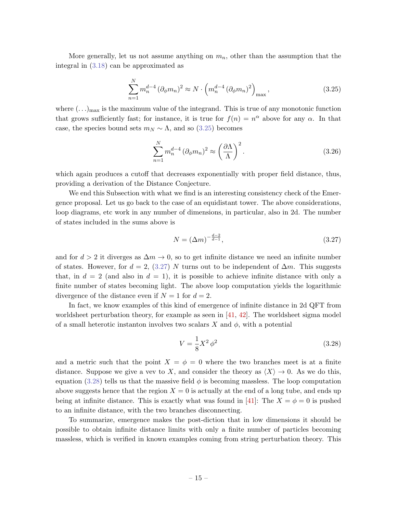More generally, let us not assume anything on  $m_n$ , other than the assumption that the integral in [\(3.18\)](#page-14-0) can be approximated as

<span id="page-15-0"></span>
$$
\sum_{n=1}^{N} m_n^{d-4} \left( \partial_{\phi} m_n \right)^2 \approx N \cdot \left( m_n^{d-4} \left( \partial_{\phi} m_n \right)^2 \right)_{\text{max}},
$$
\n(3.25)

where  $(\ldots)_{\text{max}}$  is the maximum value of the integrand. This is true of any monotonic function that grows sufficiently fast; for instance, it is true for  $f(n) = n^{\alpha}$  above for any  $\alpha$ . In that case, the species bound sets  $m_N \sim \Lambda$ , and so [\(3.25\)](#page-15-0) becomes

$$
\sum_{n=1}^{N} m_n^{d-4} \left( \partial_{\phi} m_n \right)^2 \approx \left( \frac{\partial \Lambda}{\Lambda} \right)^2.
$$
 (3.26)

which again produces a cutoff that decreases exponentially with proper field distance, thus, providing a derivation of the Distance Conjecture.

We end this Subsection with what we find is an interesting consistency check of the Emergence proposal. Let us go back to the case of an equidistant tower. The above considerations, loop diagrams, etc work in any number of dimensions, in particular, also in 2d. The number of states included in the sums above is

<span id="page-15-1"></span>
$$
N = (\Delta m)^{-\frac{d-2}{d-1}},\tag{3.27}
$$

and for  $d > 2$  it diverges as  $\Delta m \to 0$ , so to get infinite distance we need an infinite number of states. However, for  $d = 2$ , [\(3.27\)](#page-15-1) N turns out to be independent of  $\Delta m$ . This suggests that, in  $d = 2$  (and also in  $d = 1$ ), it is possible to achieve infinite distance with only a finite number of states becoming light. The above loop computation yields the logarithmic divergence of the distance even if  $N = 1$  for  $d = 2$ .

In fact, we know examples of this kind of emergence of infinite distance in 2d QFT from worldsheet perturbation theory, for example as seen in  $[41, 42]$  $[41, 42]$ . The worldsheet sigma model of a small heterotic instanton involves two scalars X and  $\phi$ , with a potential

<span id="page-15-2"></span>
$$
V = \frac{1}{8}X^2 \phi^2 \tag{3.28}
$$

and a metric such that the point  $X = \phi = 0$  where the two branches meet is at a finite distance. Suppose we give a vev to X, and consider the theory as  $\langle X \rangle \to 0$ . As we do this, equation [\(3.28\)](#page-15-2) tells us that the massive field  $\phi$  is becoming massless. The loop computation above suggests hence that the region  $X = 0$  is actually at the end of a long tube, and ends up being at infinite distance. This is exactly what was found in [\[41\]](#page-27-18): The  $X = \phi = 0$  is pushed to an infinite distance, with the two branches disconnecting.

To summarize, emergence makes the post-diction that in low dimensions it should be possible to obtain infinite distance limits with only a finite number of particles becoming massless, which is verified in known examples coming from string perturbation theory. This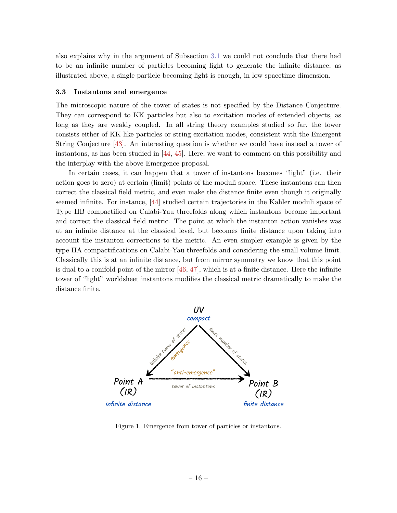also explains why in the argument of Subsection [3.1](#page-10-1) we could not conclude that there had to be an infinite number of particles becoming light to generate the infinite distance; as illustrated above, a single particle becoming light is enough, in low spacetime dimension.

#### <span id="page-16-0"></span>3.3 Instantons and emergence

The microscopic nature of the tower of states is not specified by the Distance Conjecture. They can correspond to KK particles but also to excitation modes of extended objects, as long as they are weakly coupled. In all string theory examples studied so far, the tower consists either of KK-like particles or string excitation modes, consistent with the Emergent String Conjecture [\[43\]](#page-27-20). An interesting question is whether we could have instead a tower of instantons, as has been studied in [\[44,](#page-28-0) [45\]](#page-28-1). Here, we want to comment on this possibility and the interplay with the above Emergence proposal.

In certain cases, it can happen that a tower of instantons becomes "light" (i.e. their action goes to zero) at certain (limit) points of the moduli space. These instantons can then correct the classical field metric, and even make the distance finite even though it originally seemed infinite. For instance, [\[44\]](#page-28-0) studied certain trajectories in the Kahler moduli space of Type IIB compactified on Calabi-Yau threefolds along which instantons become important and correct the classical field metric. The point at which the instanton action vanishes was at an infinite distance at the classical level, but becomes finite distance upon taking into account the instanton corrections to the metric. An even simpler example is given by the type IIA compactifications on Calabi-Yau threefolds and considering the small volume limit. Classically this is at an infinite distance, but from mirror symmetry we know that this point is dual to a conifold point of the mirror  $[46, 47]$  $[46, 47]$ , which is at a finite distance. Here the infinite tower of "light" worldsheet instantons modifies the classical metric dramatically to make the distance finite.

<span id="page-16-1"></span>

Figure 1. Emergence from tower of particles or instantons.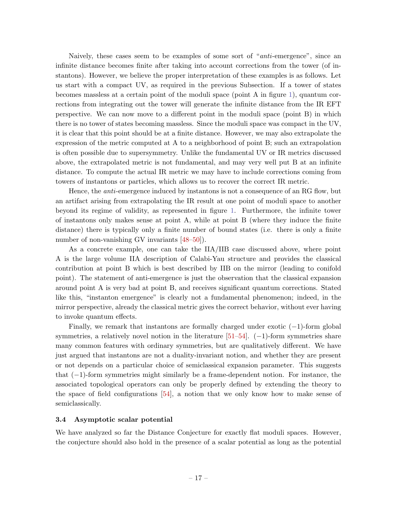Naively, these cases seem to be examples of some sort of "anti-emergence", since an infinite distance becomes finite after taking into account corrections from the tower (of instantons). However, we believe the proper interpretation of these examples is as follows. Let us start with a compact UV, as required in the previous Subsection. If a tower of states becomes massless at a certain point of the moduli space (point A in figure [1\)](#page-16-1), quantum corrections from integrating out the tower will generate the infinite distance from the IR EFT perspective. We can now move to a different point in the moduli space (point B) in which there is no tower of states becoming massless. Since the moduli space was compact in the UV, it is clear that this point should be at a finite distance. However, we may also extrapolate the expression of the metric computed at A to a neighborhood of point B; such an extrapolation is often possible due to supersymmetry. Unlike the fundamental UV or IR metrics discussed above, the extrapolated metric is not fundamental, and may very well put B at an infinite distance. To compute the actual IR metric we may have to include corrections coming from towers of instantons or particles, which allows us to recover the correct IR metric.

Hence, the *anti*-emergence induced by instantons is not a consequence of an RG flow, but an artifact arising from extrapolating the IR result at one point of moduli space to another beyond its regime of validity, as represented in figure [1.](#page-16-1) Furthermore, the infinite tower of instantons only makes sense at point A, while at point B (where they induce the finite distance) there is typically only a finite number of bound states (i.e. there is only a finite number of non-vanishing GV invariants  $[48-50]$  $[48-50]$ ).

As a concrete example, one can take the IIA/IIB case discussed above, where point A is the large volume IIA description of Calabi-Yau structure and provides the classical contribution at point B which is best described by IIB on the mirror (leading to conifold point). The statement of anti-emergence is just the observation that the classical expansion around point A is very bad at point B, and receives significant quantum corrections. Stated like this, "instanton emergence" is clearly not a fundamental phenomenon; indeed, in the mirror perspective, already the classical metric gives the correct behavior, without ever having to invoke quantum effects.

Finally, we remark that instantons are formally charged under exotic  $(-1)$ -form global symmetries, a relatively novel notion in the literature  $[51–54]$  $[51–54]$ . (-1)-form symmetries share many common features with ordinary symmetries, but are qualitatively different. We have just argued that instantons are not a duality-invariant notion, and whether they are present or not depends on a particular choice of semiclassical expansion parameter. This suggests that (−1)-form symmetries might similarly be a frame-dependent notion. For instance, the associated topological operators can only be properly defined by extending the theory to the space of field configurations [\[54\]](#page-28-7), a notion that we only know how to make sense of semiclassically.

### <span id="page-17-0"></span>3.4 Asymptotic scalar potential

We have analyzed so far the Distance Conjecture for exactly flat moduli spaces. However, the conjecture should also hold in the presence of a scalar potential as long as the potential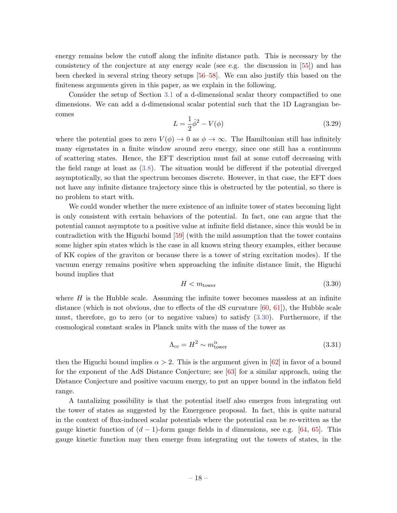energy remains below the cutoff along the infinite distance path. This is necessary by the consistency of the conjecture at any energy scale (see e.g. the discussion in [\[55\]](#page-28-8)) and has been checked in several string theory setups [\[56–](#page-28-9)[58\]](#page-28-10). We can also justify this based on the finiteness arguments given in this paper, as we explain in the following.

Consider the setup of Section [3.1](#page-10-1) of a d-dimensional scalar theory compactified to one dimensions. We can add a d-dimensional scalar potential such that the 1D Lagrangian becomes

$$
L = \frac{1}{2}\dot{\phi}^2 - V(\phi)
$$
 (3.29)

where the potential goes to zero  $V(\phi) \to 0$  as  $\phi \to \infty$ . The Hamiltonian still has infinitely many eigenstates in a finite window around zero energy, since one still has a continuum of scattering states. Hence, the EFT description must fail at some cutoff decreasing with the field range at least as [\(3.8\)](#page-11-3). The situation would be different if the potential diverged asymptotically, so that the spectrum becomes discrete. However, in that case, the EFT does not have any infinite distance trajectory since this is obstructed by the potential, so there is no problem to start with.

We could wonder whether the mere existence of an infinite tower of states becoming light is only consistent with certain behaviors of the potential. In fact, one can argue that the potential cannot asymptote to a positive value at infinite field distance, since this would be in contradiction with the Higuchi bound [\[59\]](#page-28-11) (with the mild assumption that the tower contains some higher spin states which is the case in all known string theory examples, either because of KK copies of the graviton or because there is a tower of string excitation modes). If the vacuum energy remains positive when approaching the infinite distance limit, the Higuchi bound implies that

<span id="page-18-0"></span>
$$
H < m_{\text{tower}} \tag{3.30}
$$

where  $H$  is the Hubble scale. Assuming the infinite tower becomes massless at an infinite distance (which is not obvious, due to effects of the  $dS$  curvature  $[60, 61]$  $[60, 61]$ ), the Hubble scale must, therefore, go to zero (or to negative values) to satisfy [\(3.30\)](#page-18-0). Furthermore, if the cosmological constant scales in Planck units with the mass of the tower as

<span id="page-18-1"></span>
$$
\Lambda_{cc} = H^2 \sim m_{\text{tower}}^{\alpha} \tag{3.31}
$$

then the Higuchi bound implies  $\alpha > 2$ . This is the argument given in [\[62\]](#page-28-14) in favor of a bound for the exponent of the AdS Distance Conjecture; see [\[63\]](#page-28-15) for a similar approach, using the Distance Conjecture and positive vacuum energy, to put an upper bound in the inflaton field range.

A tantalizing possibility is that the potential itself also emerges from integrating out the tower of states as suggested by the Emergence proposal. In fact, this is quite natural in the context of flux-induced scalar potentials where the potential can be re-written as the gauge kinetic function of  $(d-1)$ -form gauge fields in d dimensions, see e.g. [\[64,](#page-28-16) [65\]](#page-29-0). This gauge kinetic function may then emerge from integrating out the towers of states, in the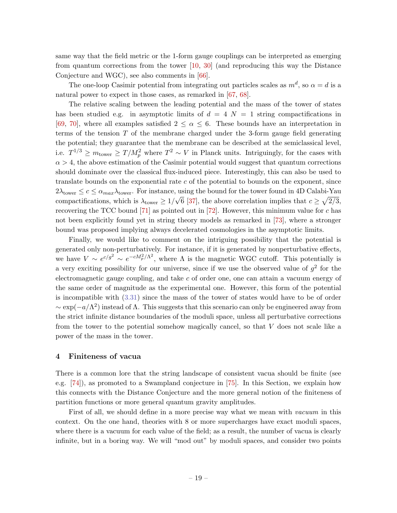same way that the field metric or the 1-form gauge couplings can be interpreted as emerging from quantum corrections from the tower [\[10,](#page-26-6) [30\]](#page-27-7) (and reproducing this way the Distance Conjecture and WGC), see also comments in [\[66\]](#page-29-1).

The one-loop Casimir potential from integrating out particles scales as  $m^d$ , so  $\alpha = d$  is a natural power to expect in those cases, as remarked in [\[67,](#page-29-2) [68\]](#page-29-3).

The relative scaling between the leading potential and the mass of the tower of states has been studied e.g. in asymptotic limits of  $d = 4$   $N = 1$  string compactifications in [\[69,](#page-29-4) [70\]](#page-29-5), where all examples satisfied  $2 \leq \alpha \leq 6$ . These bounds have an interpretation in terms of the tension  $T$  of the membrane charged under the 3-form gauge field generating the potential; they guarantee that the membrane can be described at the semiclassical level, i.e.  $T^{1/3} \geq m_{\text{tower}} \geq T/M_p^2$  where  $T^2 \sim V$  in Planck units. Intriguingly, for the cases with  $\alpha > 4$ , the above estimation of the Casimir potential would suggest that quantum corrections should dominate over the classical flux-induced piece. Interestingly, this can also be used to translate bounds on the exponential rate  $c$  of the potential to bounds on the exponent, since  $2\lambda_{\text{tower}} \leq c \leq \alpha_{max}\lambda_{\text{tower}}.$  For instance, using the bound for the tower found in 4D Calabi-Yau compactifications, which is  $\lambda_{\text{tower}} \geq 1/\sqrt{6}$  [\[37\]](#page-27-14), the above correlation implies that  $c \geq \sqrt{2/3}$ , recovering the TCC bound  $[71]$  as pointed out in  $[72]$ . However, this minimum value for c has not been explicitly found yet in string theory models as remarked in [\[73\]](#page-29-8), where a stronger bound was proposed implying always decelerated cosmologies in the asymptotic limits.

Finally, we would like to comment on the intriguing possibility that the potential is generated only non-perturbatively. For instance, if it is generated by nonperturbative effects, we have  $V \sim e^{c/g^2} \sim e^{-cM_p^2/\Lambda^2}$ , where  $\Lambda$  is the magnetic WGC cutoff. This potentially is a very exciting possibility for our universe, since if we use the observed value of  $g^2$  for the electromagnetic gauge coupling, and take c of order one, one can attain a vacuum energy of the same order of magnitude as the experimental one. However, this form of the potential is incompatible with [\(3.31\)](#page-18-1) since the mass of the tower of states would have to be of order  $\sim \exp(-a/\Lambda^2)$  instead of  $\Lambda$ . This suggests that this scenario can only be engineered away from the strict infinite distance boundaries of the moduli space, unless all perturbative corrections from the tower to the potential somehow magically cancel, so that V does not scale like a power of the mass in the tower.

# <span id="page-19-0"></span>4 Finiteness of vacua

There is a common lore that the string landscape of consistent vacua should be finite (see e.g. [\[74\]](#page-29-9)), as promoted to a Swampland conjecture in [\[75\]](#page-29-10). In this Section, we explain how this connects with the Distance Conjecture and the more general notion of the finiteness of partition functions or more general quantum gravity amplitudes.

First of all, we should define in a more precise way what we mean with *vacuum* in this context. On the one hand, theories with 8 or more supercharges have exact moduli spaces, where there is a vacuum for each value of the field; as a result, the number of vacua is clearly infinite, but in a boring way. We will "mod out" by moduli spaces, and consider two points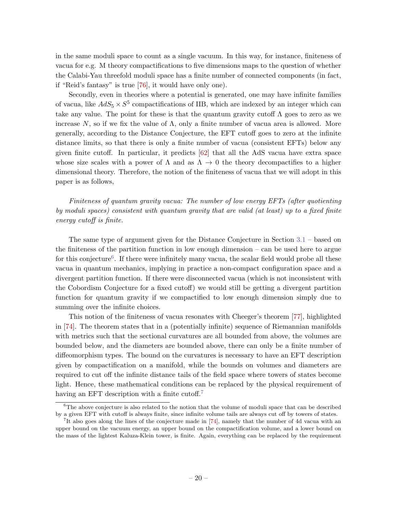in the same moduli space to count as a single vacuum. In this way, for instance, finiteness of vacua for e.g. M theory compactifications to five dimensions maps to the question of whether the Calabi-Yau threefold moduli space has a finite number of connected components (in fact, if "Reid's fantasy" is true [\[76\]](#page-29-11), it would have only one).

Secondly, even in theories where a potential is generated, one may have infinite families of vacua, like  $AdS_5 \times S^5$  compactifications of IIB, which are indexed by an integer which can take any value. The point for these is that the quantum gravity cutoff  $\Lambda$  goes to zero as we increase N, so if we fix the value of  $\Lambda$ , only a finite number of vacua area is allowed. More generally, according to the Distance Conjecture, the EFT cutoff goes to zero at the infinite distance limits, so that there is only a finite number of vacua (consistent EFTs) below any given finite cutoff. In particular, it predicts [\[62\]](#page-28-14) that all the AdS vacua have extra space whose size scales with a power of  $\Lambda$  and as  $\Lambda \to 0$  the theory decompactifies to a higher dimensional theory. Therefore, the notion of the finiteness of vacua that we will adopt in this paper is as follows,

Finiteness of quantum gravity vacua: The number of low energy EFTs (after quotienting by moduli spaces) consistent with quantum gravity that are valid (at least) up to a fixed finite energy cutoff is finite.

The same type of argument given for the Distance Conjecture in Section [3.1](#page-10-1) – based on the finiteness of the partition function in low enough dimension – can be used here to argue for this conjecture<sup>[6](#page-20-0)</sup>. If there were infinitely many vacua, the scalar field would probe all these vacua in quantum mechanics, implying in practice a non-compact configuration space and a divergent partition function. If there were disconnected vacua (which is not inconsistent with the Cobordism Conjecture for a fixed cutoff) we would still be getting a divergent partition function for quantum gravity if we compactified to low enough dimension simply due to summing over the infinite choices.

This notion of the finiteness of vacua resonates with Cheeger's theorem [\[77\]](#page-29-12), highlighted in [\[74\]](#page-29-9). The theorem states that in a (potentially infinite) sequence of Riemannian manifolds with metrics such that the sectional curvatures are all bounded from above, the volumes are bounded below, and the diameters are bounded above, there can only be a finite number of diffeomorphism types. The bound on the curvatures is necessary to have an EFT description given by compactification on a manifold, while the bounds on volumes and diameters are required to cut off the infinite distance tails of the field space where towers of states become light. Hence, these mathematical conditions can be replaced by the physical requirement of having an EFT description with a finite cutoff.<sup>[7](#page-20-1)</sup>

<span id="page-20-0"></span> $6$ The above conjecture is also related to the notion that the volume of moduli space that can be described by a given EFT with cutoff is always finite, since infinite volume tails are always cut off by towers of states.

<span id="page-20-1"></span><sup>&</sup>lt;sup>7</sup>It also goes along the lines of the conjecture made in [\[74\]](#page-29-9), namely that the number of 4d vacua with an upper bound on the vacuum energy, an upper bound on the compactification volume, and a lower bound on the mass of the lightest Kaluza-Klein tower, is finite. Again, everything can be replaced by the requirement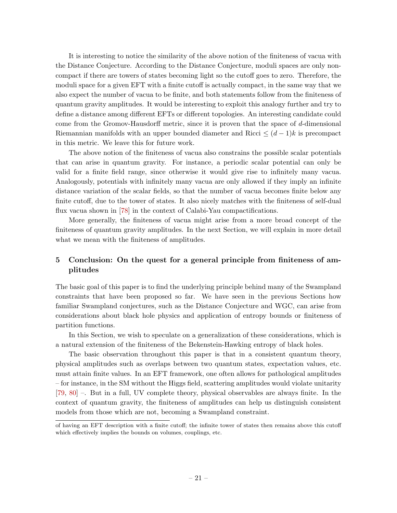It is interesting to notice the similarity of the above notion of the finiteness of vacua with the Distance Conjecture. According to the Distance Conjecture, moduli spaces are only noncompact if there are towers of states becoming light so the cutoff goes to zero. Therefore, the moduli space for a given EFT with a finite cutoff is actually compact, in the same way that we also expect the number of vacua to be finite, and both statements follow from the finiteness of quantum gravity amplitudes. It would be interesting to exploit this analogy further and try to define a distance among different EFTs or different topologies. An interesting candidate could come from the Gromov-Hausdorff metric, since it is proven that the space of d-dimensional Riemannian manifolds with an upper bounded diameter and Ricci  $\leq (d-1)k$  is precompact in this metric. We leave this for future work.

The above notion of the finiteness of vacua also constrains the possible scalar potentials that can arise in quantum gravity. For instance, a periodic scalar potential can only be valid for a finite field range, since otherwise it would give rise to infinitely many vacua. Analogously, potentials with infinitely many vacua are only allowed if they imply an infinite distance variation of the scalar fields, so that the number of vacua becomes finite below any finite cutoff, due to the tower of states. It also nicely matches with the finiteness of self-dual flux vacua shown in [\[78\]](#page-29-13) in the context of Calabi-Yau compactifications.

More generally, the finiteness of vacua might arise from a more broad concept of the finiteness of quantum gravity amplitudes. In the next Section, we will explain in more detail what we mean with the finiteness of amplitudes.

# <span id="page-21-0"></span>5 Conclusion: On the quest for a general principle from finiteness of amplitudes

The basic goal of this paper is to find the underlying principle behind many of the Swampland constraints that have been proposed so far. We have seen in the previous Sections how familiar Swampland conjectures, such as the Distance Conjecture and WGC, can arise from considerations about black hole physics and application of entropy bounds or finiteness of partition functions.

In this Section, we wish to speculate on a generalization of these considerations, which is a natural extension of the finiteness of the Bekenstein-Hawking entropy of black holes.

The basic observation throughout this paper is that in a consistent quantum theory, physical amplitudes such as overlaps between two quantum states, expectation values, etc. must attain finite values. In an EFT framework, one often allows for pathological amplitudes – for instance, in the SM without the Higgs field, scattering amplitudes would violate unitarity [\[79,](#page-29-14) [80\]](#page-29-15) –. But in a full, UV complete theory, physical observables are always finite. In the context of quantum gravity, the finiteness of amplitudes can help us distinguish consistent models from those which are not, becoming a Swampland constraint.

of having an EFT description with a finite cutoff; the infinite tower of states then remains above this cutoff which effectively implies the bounds on volumes, couplings, etc.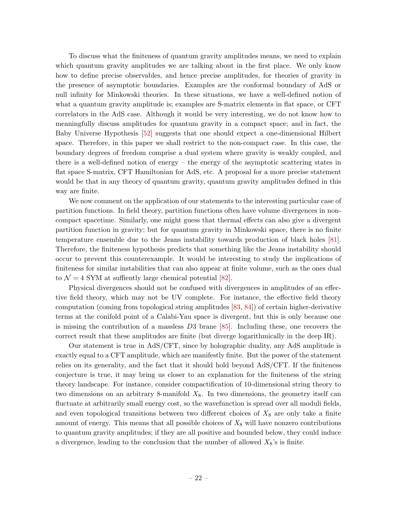To discuss what the finiteness of quantum gravity amplitudes means, we need to explain which quantum gravity amplitudes we are talking about in the first place. We only know how to define precise observables, and hence precise amplitudes, for theories of gravity in the presence of asymptotic boundaries. Examples are the conformal boundary of AdS or null infinity for Minkowski theories. In these situations, we have a well-defined notion of what a quantum gravity amplitude is; examples are S-matrix elements in flat space, or CFT correlators in the AdS case. Although it would be very interesting, we do not know how to meaningfully discuss amplitudes for quantum gravity in a compact space; and in fact, the Baby Universe Hypothesis [\[52\]](#page-28-17) suggests that one should expect a one-dimensional Hilbert space. Therefore, in this paper we shall restrict to the non-compact case. In this case, the boundary degrees of freedom comprise a dual system where gravity is weakly coupled, and there is a well-defined notion of energy – the energy of the asymptotic scattering states in flat space S-matrix, CFT Hamiltonian for AdS, etc. A proposal for a more precise statement would be that in any theory of quantum gravity, quantum gravity amplitudes defined in this way are finite.

We now comment on the application of our statements to the interesting particular case of partition functions. In field theory, partition functions often have volume divergences in noncompact spacetime. Similarly, one might guess that thermal effects can also give a divergent partition function in gravity; but for quantum gravity in Minkowski space, there is no finite temperature ensemble due to the Jeans instability towards production of black holes [\[81\]](#page-29-16). Therefore, the finiteness hypothesis predicts that something like the Jeans instability should occur to prevent this counterexample. It would be interesting to study the implications of finiteness for similar instabilities that can also appear at finite volume, such as the ones dual to  $\mathcal{N} = 4$  SYM at suffiently large chemical potential [\[82\]](#page-29-17).

Physical divergences should not be confused with divergences in amplitudes of an effective field theory, which may not be UV complete. For instance, the effective field theory computation (coming from topological string amplitudes [\[83,](#page-29-18) [84\]](#page-29-19)) of certain higher-derivative terms at the conifold point of a Calabi-Yau space is divergent, but this is only because one is missing the contribution of a massless  $D3$  brane [\[85\]](#page-29-20). Including these, one recovers the correct result that these amplitudes are finite (but diverge logarithmically in the deep IR).

Our statement is true in AdS/CFT, since by holographic duality, any AdS amplitude is exactly equal to a CFT amplitude, which are manifestly finite. But the power of the statement relies on its generality, and the fact that it should hold beyond AdS/CFT. If the finiteness conjecture is true, it may bring us closer to an explanation for the finiteness of the string theory landscape. For instance, consider compactification of 10-dimensional string theory to two dimensions on an arbitrary 8-manifold  $X_8$ . In two dimensions, the geometry itself can fluctuate at arbitrarily small energy cost, so the wavefunction is spread over all moduli fields, and even topological transitions between two different choices of  $X_8$  are only take a finite amount of energy. This means that all possible choices of  $X_8$  will have nonzero contributions to quantum gravity amplitudes; if they are all positive and bounded below, they could induce a divergence, leading to the conclusion that the number of allowed  $X_8$ 's is finite.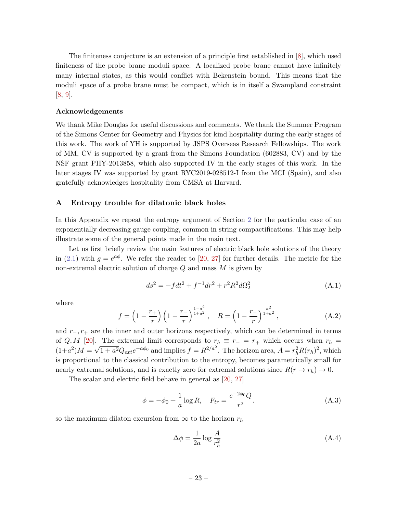The finiteness conjecture is an extension of a principle first established in [\[8\]](#page-26-4), which used finiteness of the probe brane moduli space. A localized probe brane cannot have infinitely many internal states, as this would conflict with Bekenstein bound. This means that the moduli space of a probe brane must be compact, which is in itself a Swampland constraint [\[8,](#page-26-4) [9\]](#page-26-5).

#### Acknowledgements

We thank Mike Douglas for useful discussions and comments. We thank the Summer Program of the Simons Center for Geometry and Physics for kind hospitality during the early stages of this work. The work of YH is supported by JSPS Overseas Research Fellowships. The work of MM, CV is supported by a grant from the Simons Foundation (602883, CV) and by the NSF grant PHY-2013858, which also supported IV in the early stages of this work. In the later stages IV was supported by grant RYC2019-028512-I from the MCI (Spain), and also gratefully acknowledges hospitality from CMSA at Harvard.

# <span id="page-23-0"></span>A Entropy trouble for dilatonic black holes

In this Appendix we repeat the entropy argument of Section [2](#page-2-1) for the particular case of an exponentially decreasing gauge coupling, common in string compactifications. This may help illustrate some of the general points made in the main text.

Let us first briefly review the main features of electric black hole solutions of the theory in [\(2.1\)](#page-3-2) with  $g = e^{a\phi}$ . We refer the reader to [\[20,](#page-26-10) [27\]](#page-27-4) for further details. The metric for the non-extremal electric solution of charge  $Q$  and mass  $M$  is given by

$$
ds^{2} = -fdt^{2} + f^{-1}dr^{2} + r^{2}R^{2}d\Omega_{2}^{2}
$$
 (A.1)

where

<span id="page-23-2"></span>
$$
f = \left(1 - \frac{r_+}{r}\right) \left(1 - \frac{r_-}{r}\right)^{\frac{1 - a^2}{1 + a^2}}, \quad R = \left(1 - \frac{r_-}{r}\right)^{\frac{a^2}{1 + a^2}},\tag{A.2}
$$

and  $r_-, r_+$  are the inner and outer horizons respectively, which can be determined in terms of Q, M [\[20\]](#page-26-10). The extremal limit corresponds to  $r_h \equiv r_- = r_+$  which occurs when  $r_h = (r_+ - r_+)/2$  $(1+a^2)M = \sqrt{1+a^2}Q_{ext}e^{-a\phi_0}$  and implies  $f = R^{2/a^2}$ . The horizon area,  $A = r_h^2 R(r_h)^2$ , which is proportional to the classical contribution to the entropy, becomes parametrically small for nearly extremal solutions, and is exactly zero for extremal solutions since  $R(r \to r_h) \to 0$ .

The scalar and electric field behave in general as [\[20,](#page-26-10) [27\]](#page-27-4)

<span id="page-23-1"></span>
$$
\phi = -\phi_0 + \frac{1}{a}\log R, \quad F_{tr} = \frac{e^{-2\phi_0}Q}{r^2}.
$$
\n(A.3)

so the maximum dilaton excursion from  $\infty$  to the horizon  $r_h$ 

$$
\Delta \phi = \frac{1}{2a} \log \frac{A}{r_h^2} \tag{A.4}
$$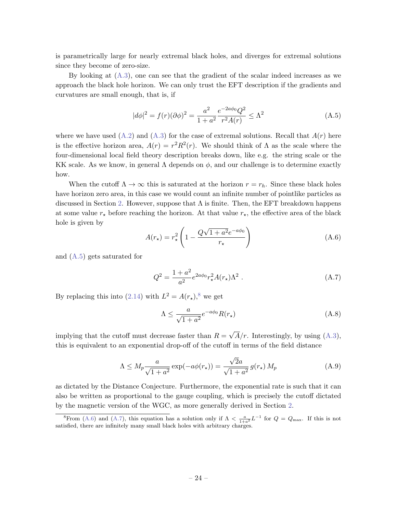is parametrically large for nearly extremal black holes, and diverges for extremal solutions since they become of zero-size.

By looking at  $(A.3)$ , one can see that the gradient of the scalar indeed increases as we approach the black hole horizon. We can only trust the EFT description if the gradients and curvatures are small enough, that is, if

<span id="page-24-0"></span>
$$
|d\phi|^2 = f(r)(\partial\phi)^2 = \frac{a^2}{1+a^2} \frac{e^{-2a\phi_0} Q^2}{r^2 A(r)} \le \Lambda^2
$$
\n(A.5)

where we have used  $(A.2)$  and  $(A.3)$  for the case of extremal solutions. Recall that  $A(r)$  here is the effective horizon area,  $A(r) = r^2 R^2(r)$ . We should think of  $\Lambda$  as the scale where the four-dimensional local field theory description breaks down, like e.g. the string scale or the KK scale. As we know, in general  $\Lambda$  depends on  $\phi$ , and our challenge is to determine exactly how.

When the cutoff  $\Lambda \to \infty$  this is saturated at the horizon  $r = r_h$ . Since these black holes have horizon zero area, in this case we would count an infinite number of pointlike particles as discussed in Section [2.](#page-2-1) However, suppose that  $\Lambda$  is finite. Then, the EFT breakdown happens at some value  $r_{\star}$  before reaching the horizon. At that value  $r_{\star}$ , the effective area of the black hole is given by √

<span id="page-24-2"></span>
$$
A(r_{\star}) = r_{\star}^{2} \left( 1 - \frac{Q\sqrt{1 + a^{2}}e^{-a\phi_{0}}}{r_{\star}} \right)
$$
 (A.6)

and [\(A.5\)](#page-24-0) gets saturated for

<span id="page-24-3"></span>
$$
Q^{2} = \frac{1+a^{2}}{a^{2}} e^{2a\phi_{0}} r_{\star}^{2} A(r_{\star}) \Lambda^{2} . \qquad (A.7)
$$

By replacing this into [\(2.14\)](#page-7-0) with  $L^2 = A(r_{\star})$ ,<sup>[8](#page-24-1)</sup> we get

$$
\Lambda \le \frac{a}{\sqrt{1+a^2}} e^{-a\phi_0} R(r_\star)
$$
\n(A.8)

implying that the cutoff must decrease faster than  $R =$ √  $A/r$ . Interestingly, by using  $(A.3)$ , this is equivalent to an exponential drop-off of the cutoff in terms of the field distance

$$
\Lambda \le M_p \frac{a}{\sqrt{1+a^2}} \exp(-a\phi(r_\star)) = \frac{\sqrt{2}a}{\sqrt{1+a^2}} g(r_\star) M_p \tag{A.9}
$$

as dictated by the Distance Conjecture. Furthermore, the exponential rate is such that it can also be written as proportional to the gauge coupling, which is precisely the cutoff dictated by the magnetic version of the WGC, as more generally derived in Section [2.](#page-2-1)

<span id="page-24-1"></span><sup>&</sup>lt;sup>8</sup>From [\(A.6\)](#page-24-2) and [\(A.7\)](#page-24-3), this equation has a solution only if  $\Lambda < \frac{a}{1+a^2} L^{-1}$  for  $Q = Q_{\text{max}}$ . If this is not satisfied, there are infinitely many small black holes with arbitrary charges.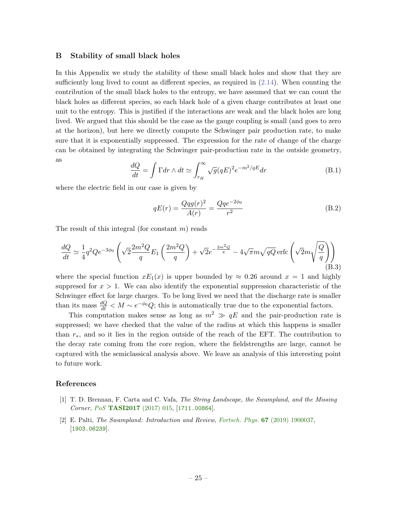#### <span id="page-25-0"></span>B Stability of small black holes

In this Appendix we study the stability of these small black holes and show that they are sufficiently long lived to count as different species, as required in  $(2.14)$ . When counting the contribution of the small black holes to the entropy, we have assumed that we can count the black holes as different species, so each black hole of a given charge contributes at least one unit to the entropy. This is justified if the interactions are weak and the black holes are long lived. We argued that this should be the case as the gauge coupling is small (and goes to zero at the horizon), but here we directly compute the Schwinger pair production rate, to make sure that it is exponentially suppressed. The expression for the rate of change of the charge can be obtained by integrating the Schwinger pair-production rate in the outside geometry, as

$$
\frac{dQ}{dt} = \int \Gamma dr \wedge dt \simeq \int_{r_H}^{\infty} \sqrt{g} (qE)^2 e^{-m^2/qE} dr \tag{B.1}
$$

where the electric field in our case is given by

$$
qE(r) = \frac{Qqq(r)^2}{A(r)} = \frac{Qqe^{-2\phi_0}}{r^2}
$$
 (B.2)

The result of this integral (for constant  $m$ ) reads

$$
\frac{dQ}{dt} \simeq \frac{1}{4}q^2 Q e^{-3\phi_0} \left( \sqrt{2} \frac{2m^2 Q}{q} E_1 \left( \frac{2m^2 Q}{q} \right) + \sqrt{2} e^{-\frac{2m^2 Q}{q}} - 4\sqrt{\pi} m \sqrt{qQ} \operatorname{erfc} \left( \sqrt{2} m \sqrt{\frac{Q}{q}} \right) \right)
$$
\n(B.3)

where the special function  $xE_1(x)$  is upper bounded by  $\approx 0.26$  around  $x = 1$  and highly suppresed for  $x > 1$ . We can also identify the exponential suppression characteristic of the Schwinger effect for large charges. To be long lived we need that the discharge rate is smaller than its mass  $\frac{dQ}{dt} < M \sim e^{-\phi_0} Q$ ; this is automatically true due to the exponential factors.

This computation makes sense as long as  $m^2 \gg qE$  and the pair-production rate is suppressed; we have checked that the value of the radius at which this happens is smaller than  $r_*$ , and so it lies in the region outside of the reach of the EFT. The contribution to the decay rate coming from the core region, where the fieldstrengths are large, cannot be captured with the semiclassical analysis above. We leave an analysis of this interesting point to future work.

# References

- <span id="page-25-1"></span>[1] T. D. Brennan, F. Carta and C. Vafa, The String Landscape, the Swampland, and the Missing Corner, PoS [TASI2017](http://dx.doi.org/10.22323/1.305.0015) (2017) 015, [[1711.00864](https://arxiv.org/abs/1711.00864)].
- <span id="page-25-2"></span>[2] E. Palti, The Swampland: Introduction and Review, Fortsch. Phys. 67 [\(2019\) 1900037,](http://dx.doi.org/10.1002/prop.201900037) [[1903.06239](https://arxiv.org/abs/1903.06239)].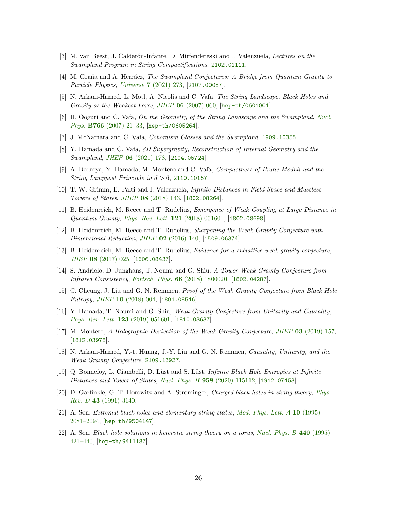- <span id="page-26-16"></span>[3] M. van Beest, J. Calderón-Infante, D. Mirfendereski and I. Valenzuela, Lectures on the Swampland Program in String Compactifications, [2102.01111](https://arxiv.org/abs/2102.01111).
- <span id="page-26-0"></span>[4] M. Graña and A. Herráez, *The Swampland Conjectures: A Bridge from Quantum Gravity to* Particle Physics, Universe 7 [\(2021\) 273,](http://dx.doi.org/10.3390/universe7080273) [[2107.00087](https://arxiv.org/abs/2107.00087)].
- <span id="page-26-1"></span>[5] N. Arkani-Hamed, L. Motl, A. Nicolis and C. Vafa, The String Landscape, Black Holes and Gravity as the Weakest Force, JHEP  $06$  [\(2007\) 060,](http://dx.doi.org/10.1088/1126-6708/2007/06/060) [[hep-th/0601001](https://arxiv.org/abs/hep-th/0601001)].
- <span id="page-26-2"></span>[6] H. Ooguri and C. Vafa, On the Geometry of the String Landscape and the Swampland, [Nucl.](http://dx.doi.org/10.1016/j.nuclphysb.2006.10.033) Phys. B766 (2007) 21-33, [[hep-th/0605264](https://arxiv.org/abs/hep-th/0605264)].
- <span id="page-26-3"></span>[7] J. McNamara and C. Vafa, Cobordism Classes and the Swampland, [1909.10355](https://arxiv.org/abs/1909.10355).
- <span id="page-26-4"></span>[8] Y. Hamada and C. Vafa, 8D Supergravity, Reconstruction of Internal Geometry and the Swampland, JHEP 06 [\(2021\) 178,](http://dx.doi.org/10.1007/JHEP06(2021)178) [[2104.05724](https://arxiv.org/abs/2104.05724)].
- <span id="page-26-5"></span>[9] A. Bedroya, Y. Hamada, M. Montero and C. Vafa, Compactness of Brane Moduli and the String Lamppost Principle in  $d > 6$ , [2110.10157](https://arxiv.org/abs/2110.10157).
- <span id="page-26-6"></span>[10] T. W. Grimm, E. Palti and I. Valenzuela, Infinite Distances in Field Space and Massless Towers of States, JHEP 08 [\(2018\) 143,](http://dx.doi.org/10.1007/JHEP08(2018)143) [[1802.08264](https://arxiv.org/abs/1802.08264)].
- <span id="page-26-7"></span>[11] B. Heidenreich, M. Reece and T. Rudelius, Emergence of Weak Coupling at Large Distance in Quantum Gravity, [Phys. Rev. Lett.](http://dx.doi.org/10.1103/PhysRevLett.121.051601)  $121$  (2018) 051601, [[1802.08698](https://arxiv.org/abs/1802.08698)].
- <span id="page-26-8"></span>[12] B. Heidenreich, M. Reece and T. Rudelius, Sharpening the Weak Gravity Conjecture with Dimensional Reduction, JHEP 02 [\(2016\) 140,](http://dx.doi.org/10.1007/JHEP02(2016)140) [[1509.06374](https://arxiv.org/abs/1509.06374)].
- [13] B. Heidenreich, M. Reece and T. Rudelius, Evidence for a sublattice weak gravity conjecture, JHEP 08 [\(2017\) 025,](http://dx.doi.org/10.1007/JHEP08(2017)025) [[1606.08437](https://arxiv.org/abs/1606.08437)].
- <span id="page-26-9"></span>[14] S. Andriolo, D. Junghans, T. Noumi and G. Shiu, A Tower Weak Gravity Conjecture from Infrared Consistency, Fortsch. Phys. 66 [\(2018\) 1800020,](http://dx.doi.org/10.1002/prop.201800020) [[1802.04287](https://arxiv.org/abs/1802.04287)].
- <span id="page-26-13"></span>[15] C. Cheung, J. Liu and G. N. Remmen, Proof of the Weak Gravity Conjecture from Black Hole Entropy, JHEP 10 [\(2018\) 004,](http://dx.doi.org/10.1007/JHEP10(2018)004) [[1801.08546](https://arxiv.org/abs/1801.08546)].
- [16] Y. Hamada, T. Noumi and G. Shiu, Weak Gravity Conjecture from Unitarity and Causality, [Phys. Rev. Lett.](http://dx.doi.org/10.1103/PhysRevLett.123.051601) 123 (2019) 051601, [[1810.03637](https://arxiv.org/abs/1810.03637)].
- [17] M. Montero, A Holographic Derivation of the Weak Gravity Conjecture, JHEP 03 [\(2019\) 157,](http://dx.doi.org/10.1007/JHEP03(2019)157) [[1812.03978](https://arxiv.org/abs/1812.03978)].
- <span id="page-26-14"></span>[18] N. Arkani-Hamed, Y.-t. Huang, J.-Y. Liu and G. N. Remmen, Causality, Unitarity, and the Weak Gravity Conjecture, [2109.13937](https://arxiv.org/abs/2109.13937).
- <span id="page-26-15"></span>[19] Q. Bonnefoy, L. Ciambelli, D. Lüst and S. Lüst, *Infinite Black Hole Entropies at Infinite* Distances and Tower of States, Nucl. Phys. B 958 [\(2020\) 115112,](http://dx.doi.org/10.1016/j.nuclphysb.2020.115112) [[1912.07453](https://arxiv.org/abs/1912.07453)].
- <span id="page-26-10"></span>[20] D. Garfinkle, G. T. Horowitz and A. Strominger, Charged black holes in string theory, [Phys.](http://dx.doi.org/10.1103/PhysRevD.43.3140) Rev. D 43 [\(1991\) 3140.](http://dx.doi.org/10.1103/PhysRevD.43.3140)
- <span id="page-26-11"></span>[21] A. Sen, Extremal black holes and elementary string states, [Mod. Phys. Lett. A](http://dx.doi.org/10.1142/S0217732395002234) 10 (1995) [2081–2094,](http://dx.doi.org/10.1142/S0217732395002234) [[hep-th/9504147](https://arxiv.org/abs/hep-th/9504147)].
- <span id="page-26-12"></span>[22] A. Sen, Black hole solutions in heterotic string theory on a torus, [Nucl. Phys. B](http://dx.doi.org/10.1016/0550-3213(95)00063-X) 440 (1995) [421–440,](http://dx.doi.org/10.1016/0550-3213(95)00063-X) [[hep-th/9411187](https://arxiv.org/abs/hep-th/9411187)].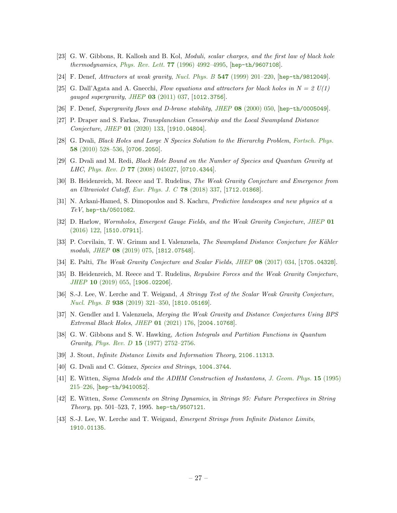- <span id="page-27-0"></span>[23] G. W. Gibbons, R. Kallosh and B. Kol, Moduli, scalar charges, and the first law of black hole thermodynamics, Phys. Rev. Lett. 77 [\(1996\) 4992–4995,](http://dx.doi.org/10.1103/PhysRevLett.77.4992) [[hep-th/9607108](https://arxiv.org/abs/hep-th/9607108)].
- <span id="page-27-2"></span>[24] F. Denef, Attractors at weak gravity, Nucl. Phys. B 547 [\(1999\) 201–220,](http://dx.doi.org/10.1016/S0550-3213(99)00096-6) [[hep-th/9812049](https://arxiv.org/abs/hep-th/9812049)].
- <span id="page-27-1"></span>[25] G. Dall'Agata and A. Gneechi, Flow equations and attractors for black holes in  $N = 2 U(1)$ gauged supergravity, JHEP 03 [\(2011\) 037,](http://dx.doi.org/10.1007/JHEP03(2011)037) [[1012.3756](https://arxiv.org/abs/1012.3756)].
- <span id="page-27-3"></span>[26] F. Denef, Supergravity flows and D-brane stability, JHEP 08 [\(2000\) 050,](http://dx.doi.org/10.1088/1126-6708/2000/08/050) [[hep-th/0005049](https://arxiv.org/abs/hep-th/0005049)].
- <span id="page-27-4"></span>[27] P. Draper and S. Farkas, Transplanckian Censorship and the Local Swampland Distance Conjecture, JHEP 01 [\(2020\) 133,](http://dx.doi.org/10.1007/JHEP01(2020)133) [[1910.04804](https://arxiv.org/abs/1910.04804)].
- <span id="page-27-5"></span>[28] G. Dvali, Black Holes and Large N Species Solution to the Hierarchy Problem, [Fortsch. Phys.](http://dx.doi.org/10.1002/prop.201000009) 58 [\(2010\) 528–536,](http://dx.doi.org/10.1002/prop.201000009) [[0706.2050](https://arxiv.org/abs/0706.2050)].
- <span id="page-27-6"></span>[29] G. Dvali and M. Redi, Black Hole Bound on the Number of Species and Quantum Gravity at *LHC*, *Phys. Rev. D* 77 [\(2008\) 045027,](http://dx.doi.org/10.1103/PhysRevD.77.045027) [[0710.4344](https://arxiv.org/abs/0710.4344)].
- <span id="page-27-7"></span>[30] B. Heidenreich, M. Reece and T. Rudelius, The Weak Gravity Conjecture and Emergence from an Ultraviolet Cutoff, [Eur. Phys. J. C](http://dx.doi.org/10.1140/epjc/s10052-018-5811-3) 78 (2018) 337, [[1712.01868](https://arxiv.org/abs/1712.01868)].
- <span id="page-27-8"></span>[31] N. Arkani-Hamed, S. Dimopoulos and S. Kachru, Predictive landscapes and new physics at a TeV, [hep-th/0501082](https://arxiv.org/abs/hep-th/0501082).
- <span id="page-27-9"></span>[32] D. Harlow, Wormholes, Emergent Gauge Fields, and the Weak Gravity Conjecture, [JHEP](http://dx.doi.org/10.1007/JHEP01(2016)122) 01  $(2016)$  122, [[1510.07911](https://arxiv.org/abs/1510.07911)].
- <span id="page-27-10"></span>[33] P. Corvilain, T. W. Grimm and I. Valenzuela, The Swampland Distance Conjecture for Kähler moduli, JHEP 08 [\(2019\) 075,](http://dx.doi.org/10.1007/JHEP08(2019)075) [[1812.07548](https://arxiv.org/abs/1812.07548)].
- <span id="page-27-11"></span>[34] E. Palti, The Weak Gravity Conjecture and Scalar Fields, JHEP 08 [\(2017\) 034,](http://dx.doi.org/10.1007/JHEP08(2017)034) [[1705.04328](https://arxiv.org/abs/1705.04328)].
- <span id="page-27-12"></span>[35] B. Heidenreich, M. Reece and T. Rudelius, Repulsive Forces and the Weak Gravity Conjecture, JHEP 10 [\(2019\) 055,](http://dx.doi.org/10.1007/JHEP10(2019)055) [[1906.02206](https://arxiv.org/abs/1906.02206)].
- <span id="page-27-13"></span>[36] S.-J. Lee, W. Lerche and T. Weigand, A Stringy Test of the Scalar Weak Gravity Conjecture, Nucl. Phys. B 938 [\(2019\) 321–350,](http://dx.doi.org/10.1016/j.nuclphysb.2018.11.001) [[1810.05169](https://arxiv.org/abs/1810.05169)].
- <span id="page-27-14"></span>[37] N. Gendler and I. Valenzuela, Merging the Weak Gravity and Distance Conjectures Using BPS Extremal Black Holes, JHEP 01 [\(2021\) 176,](http://dx.doi.org/10.1007/JHEP01(2021)176) [[2004.10768](https://arxiv.org/abs/2004.10768)].
- <span id="page-27-15"></span>[38] G. W. Gibbons and S. W. Hawking, Action Integrals and Partition Functions in Quantum Gravity, Phys. Rev. D 15 [\(1977\) 2752–2756.](http://dx.doi.org/10.1103/PhysRevD.15.2752)
- <span id="page-27-16"></span>[39] J. Stout, Infinite Distance Limits and Information Theory, [2106.11313](https://arxiv.org/abs/2106.11313).
- <span id="page-27-17"></span>[40] G. Dvali and C. Gómez, Species and Strings, [1004.3744](https://arxiv.org/abs/1004.3744).
- <span id="page-27-18"></span>[41] E. Witten, Sigma Models and the ADHM Construction of Instantons, [J. Geom. Phys.](http://dx.doi.org/10.1016/0393-0440(94)00047-8) 15 (1995)  $215-226$ ,  $[hep-th/9410052]$  $[hep-th/9410052]$  $[hep-th/9410052]$ .
- <span id="page-27-19"></span>[42] E. Witten, Some Comments on String Dynamics, in Strings 95: Future Perspectives in String Theory, pp. 501–523, 7, 1995. [hep-th/9507121](https://arxiv.org/abs/hep-th/9507121).
- <span id="page-27-20"></span>[43] S.-J. Lee, W. Lerche and T. Weigand, Emergent Strings from Infinite Distance Limits, [1910.01135](https://arxiv.org/abs/1910.01135).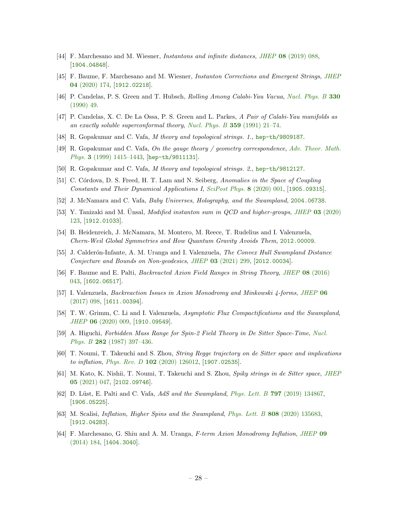- <span id="page-28-0"></span>[44] F. Marchesano and M. Wiesner, Instantons and infinite distances, JHEP 08 [\(2019\) 088,](http://dx.doi.org/10.1007/JHEP08(2019)088) [[1904.04848](https://arxiv.org/abs/1904.04848)].
- <span id="page-28-1"></span>[45] F. Baume, F. Marchesano and M. Wiesner, Instanton Corrections and Emergent Strings, [JHEP](http://dx.doi.org/10.1007/JHEP04(2020)174) 04 [\(2020\) 174,](http://dx.doi.org/10.1007/JHEP04(2020)174) [[1912.02218](https://arxiv.org/abs/1912.02218)].
- <span id="page-28-2"></span>[46] P. Candelas, P. S. Green and T. Hubsch, Rolling Among Calabi-Yau Vacua, [Nucl. Phys. B](http://dx.doi.org/10.1016/0550-3213(90)90302-T) 330 [\(1990\) 49.](http://dx.doi.org/10.1016/0550-3213(90)90302-T)
- <span id="page-28-3"></span>[47] P. Candelas, X. C. De La Ossa, P. S. Green and L. Parkes, A Pair of Calabi-Yau manifolds as an exactly soluble superconformal theory, [Nucl. Phys. B](http://dx.doi.org/10.1016/0550-3213(91)90292-6) 359 (1991) 21–74.
- <span id="page-28-4"></span>[48] R. Gopakumar and C. Vafa, M theory and topological strings. 1., [hep-th/9809187](https://arxiv.org/abs/hep-th/9809187).
- [49] R. Gopakumar and C. Vafa, On the gauge theory / geometry correspondence, [Adv. Theor. Math.](http://dx.doi.org/10.4310/ATMP.1999.v3.n5.a5) Phys. 3 (1999) 1415-1443, [[hep-th/9811131](https://arxiv.org/abs/hep-th/9811131)].
- <span id="page-28-5"></span>[50] R. Gopakumar and C. Vafa, M theory and topological strings. 2., [hep-th/9812127](https://arxiv.org/abs/hep-th/9812127).
- <span id="page-28-6"></span>[51] C. Córdova, D. S. Freed, H. T. Lam and N. Seiberg, Anomalies in the Space of Coupling Constants and Their Dynamical Applications I, [SciPost Phys.](http://dx.doi.org/10.21468/SciPostPhys.8.1.001) 8 (2020) 001, [[1905.09315](https://arxiv.org/abs/1905.09315)].
- <span id="page-28-17"></span>[52] J. McNamara and C. Vafa, Baby Universes, Holography, and the Swampland, [2004.06738](https://arxiv.org/abs/2004.06738).
- [53] Y. Tanizaki and M. Unsal, *Modified instanton sum in QCD and higher-groups, JHEP* 03 [\(2020\)](http://dx.doi.org/10.1007/JHEP03(2020)123) [123,](http://dx.doi.org/10.1007/JHEP03(2020)123) [[1912.01033](https://arxiv.org/abs/1912.01033)].
- <span id="page-28-7"></span>[54] B. Heidenreich, J. McNamara, M. Montero, M. Reece, T. Rudelius and I. Valenzuela, Chern-Weil Global Symmetries and How Quantum Gravity Avoids Them, [2012.00009](https://arxiv.org/abs/2012.00009).
- <span id="page-28-8"></span>[55] J. Calderón-Infante, A. M. Uranga and I. Valenzuela, The Convex Hull Swampland Distance Conjecture and Bounds on Non-geodesics, JHEP 03 [\(2021\) 299,](http://dx.doi.org/10.1007/JHEP03(2021)299) [[2012.00034](https://arxiv.org/abs/2012.00034)].
- <span id="page-28-9"></span>[56] F. Baume and E. Palti, Backreacted Axion Field Ranges in String Theory, JHEP 08 [\(2016\)](http://dx.doi.org/10.1007/JHEP08(2016)043) [043,](http://dx.doi.org/10.1007/JHEP08(2016)043) [[1602.06517](https://arxiv.org/abs/1602.06517)].
- [57] I. Valenzuela, Backreaction Issues in Axion Monodromy and Minkowski 4-forms, [JHEP](http://dx.doi.org/10.1007/JHEP06(2017)098) 06  $(2017)$  098, [[1611.00394](https://arxiv.org/abs/1611.00394)].
- <span id="page-28-10"></span>[58] T. W. Grimm, C. Li and I. Valenzuela, Asymptotic Flux Compactifications and the Swampland, JHEP 06 [\(2020\) 009,](http://dx.doi.org/10.1007/JHEP06(2020)009) [[1910.09549](https://arxiv.org/abs/1910.09549)].
- <span id="page-28-11"></span>[59] A. Higuchi, Forbidden Mass Range for Spin-2 Field Theory in De Sitter Space-Time, [Nucl.](http://dx.doi.org/10.1016/0550-3213(87)90691-2) Phys. B 282 [\(1987\) 397–436.](http://dx.doi.org/10.1016/0550-3213(87)90691-2)
- <span id="page-28-12"></span>[60] T. Noumi, T. Takeuchi and S. Zhou, String Regge trajectory on de Sitter space and implications to inflation, Phys. Rev. D  $102$  [\(2020\) 126012,](http://dx.doi.org/10.1103/PhysRevD.102.126012) [[1907.02535](https://arxiv.org/abs/1907.02535)].
- <span id="page-28-13"></span>[61] M. Kato, K. Nishii, T. Noumi, T. Takeuchi and S. Zhou, Spiky strings in de Sitter space, [JHEP](http://dx.doi.org/10.1007/JHEP05(2021)047) 05 [\(2021\) 047,](http://dx.doi.org/10.1007/JHEP05(2021)047) [[2102.09746](https://arxiv.org/abs/2102.09746)].
- <span id="page-28-14"></span>[62] D. Lüst, E. Palti and C. Vafa, AdS and the Swampland, Phys. Lett. B  $797$  [\(2019\) 134867,](http://dx.doi.org/10.1016/j.physletb.2019.134867) [[1906.05225](https://arxiv.org/abs/1906.05225)].
- <span id="page-28-15"></span>[63] M. Scalisi, Inflation, Higher Spins and the Swampland, Phys. Lett. B 808 [\(2020\) 135683,](http://dx.doi.org/10.1016/j.physletb.2020.135683) [[1912.04283](https://arxiv.org/abs/1912.04283)].
- <span id="page-28-16"></span>[64] F. Marchesano, G. Shiu and A. M. Uranga, F-term Axion Monodromy Inflation, [JHEP](http://dx.doi.org/10.1007/JHEP09(2014)184) 09  $(2014)$  184, [[1404.3040](https://arxiv.org/abs/1404.3040)].